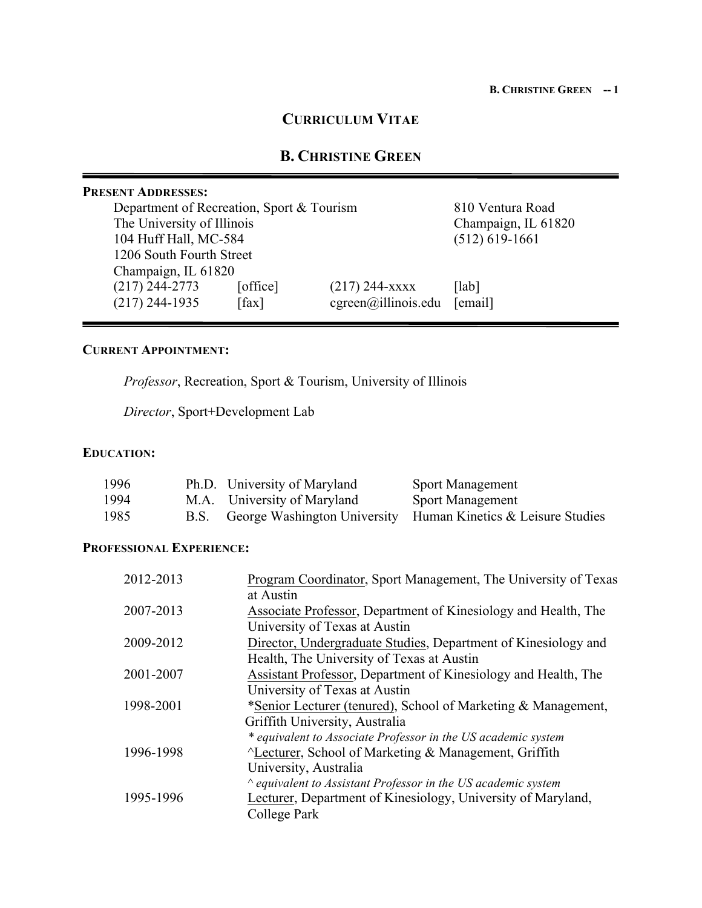# **CURRICULUM VITAE**

# **B. CHRISTINE GREEN**

|                          | <b>PRESENT ADDRESSES:</b>                 |                  |                                    |                     |
|--------------------------|-------------------------------------------|------------------|------------------------------------|---------------------|
|                          | Department of Recreation, Sport & Tourism | 810 Ventura Road |                                    |                     |
|                          | The University of Illinois                |                  |                                    | Champaign, IL 61820 |
| 104 Huff Hall, MC-584    |                                           |                  | $(512) 619 - 1661$                 |                     |
| 1206 South Fourth Street |                                           |                  |                                    |                     |
|                          | Champaign, IL 61820                       |                  |                                    |                     |
|                          | $(217)$ 244-2773                          | [office]         | $(217)$ 244-xxxx                   | [lab]               |
|                          | $(217)$ 244-1935                          | [fax]            | $cgreen(\widehat{a})$ illinois.edu | [email]             |
|                          |                                           |                  |                                    |                     |

## **CURRENT APPOINTMENT:**

*Professor*, Recreation, Sport & Tourism, University of Illinois

*Director*, Sport+Development Lab

# **EDUCATION:**

| 1996 | Ph.D. University of Maryland | <b>Sport Management</b>                                            |
|------|------------------------------|--------------------------------------------------------------------|
| 1994 | M.A. University of Maryland  | <b>Sport Management</b>                                            |
| 1985 |                              | B.S. George Washington University Human Kinetics & Leisure Studies |

# **PROFESSIONAL EXPERIENCE:**

| 2012-2013 | Program Coordinator, Sport Management, The University of Texas      |
|-----------|---------------------------------------------------------------------|
|           | at Austin                                                           |
| 2007-2013 | Associate Professor, Department of Kinesiology and Health, The      |
|           | University of Texas at Austin                                       |
| 2009-2012 | Director, Undergraduate Studies, Department of Kinesiology and      |
|           | Health, The University of Texas at Austin                           |
| 2001-2007 | Assistant Professor, Department of Kinesiology and Health, The      |
|           | University of Texas at Austin                                       |
| 1998-2001 | *Senior Lecturer (tenured), School of Marketing & Management,       |
|           | Griffith University, Australia                                      |
|           | * equivalent to Associate Professor in the US academic system       |
| 1996-1998 | $\Delta$ Lecturer, School of Marketing & Management, Griffith       |
|           | University, Australia                                               |
|           | $\land$ equivalent to Assistant Professor in the US academic system |
| 1995-1996 | Lecturer, Department of Kinesiology, University of Maryland,        |
|           | College Park                                                        |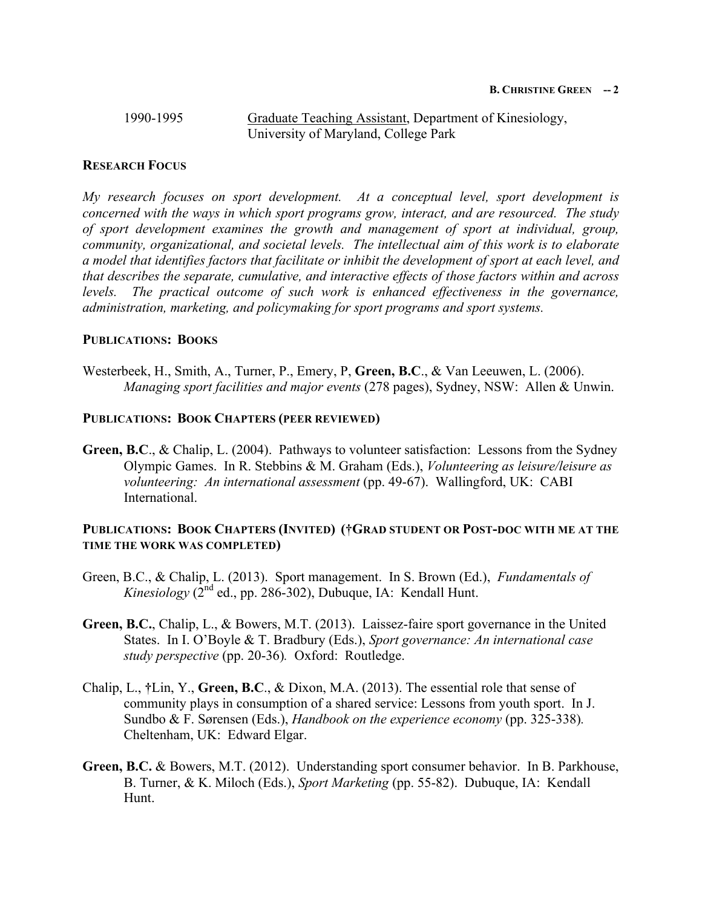# 1990-1995 Graduate Teaching Assistant, Department of Kinesiology, University of Maryland, College Park

# **RESEARCH FOCUS**

*My research focuses on sport development. At a conceptual level, sport development is concerned with the ways in which sport programs grow, interact, and are resourced. The study of sport development examines the growth and management of sport at individual, group, community, organizational, and societal levels. The intellectual aim of this work is to elaborate a model that identifies factors that facilitate or inhibit the development of sport at each level, and that describes the separate, cumulative, and interactive effects of those factors within and across*  levels. The practical outcome of such work is enhanced effectiveness in the governance, *administration, marketing, and policymaking for sport programs and sport systems.* 

## **PUBLICATIONS: BOOKS**

Westerbeek, H., Smith, A., Turner, P., Emery, P, **Green, B.C**., & Van Leeuwen, L. (2006). *Managing sport facilities and major events* (278 pages), Sydney, NSW: Allen & Unwin.

## **PUBLICATIONS: BOOK CHAPTERS (PEER REVIEWED)**

**Green, B.C**., & Chalip, L. (2004). Pathways to volunteer satisfaction: Lessons from the Sydney Olympic Games. In R. Stebbins & M. Graham (Eds.), *Volunteering as leisure/leisure as volunteering: An international assessment* (pp. 49-67). Wallingford, UK: CABI International.

# **PUBLICATIONS: BOOK CHAPTERS (INVITED) (†GRAD STUDENT OR POST-DOC WITH ME AT THE TIME THE WORK WAS COMPLETED)**

- Green, B.C., & Chalip, L. (2013). Sport management. In S. Brown (Ed.), *Fundamentals of Kinesiology* ( $2<sup>nd</sup>$  ed., pp. 286-302), Dubuque, IA: Kendall Hunt.
- **Green, B.C.**, Chalip, L., & Bowers, M.T. (2013). Laissez-faire sport governance in the United States. In I. O'Boyle & T. Bradbury (Eds.), *Sport governance: An international case study perspective* (pp. 20-36)*.* Oxford: Routledge.
- Chalip, L., **†**Lin, Y., **Green, B.C**., & Dixon, M.A. (2013). The essential role that sense of community plays in consumption of a shared service: Lessons from youth sport. In J. Sundbo & F. Sørensen (Eds.), *Handbook on the experience economy* (pp. 325-338)*.* Cheltenham, UK: Edward Elgar.
- **Green, B.C.** & Bowers, M.T. (2012). Understanding sport consumer behavior. In B. Parkhouse, B. Turner, & K. Miloch (Eds.), *Sport Marketing* (pp. 55-82). Dubuque, IA: Kendall Hunt.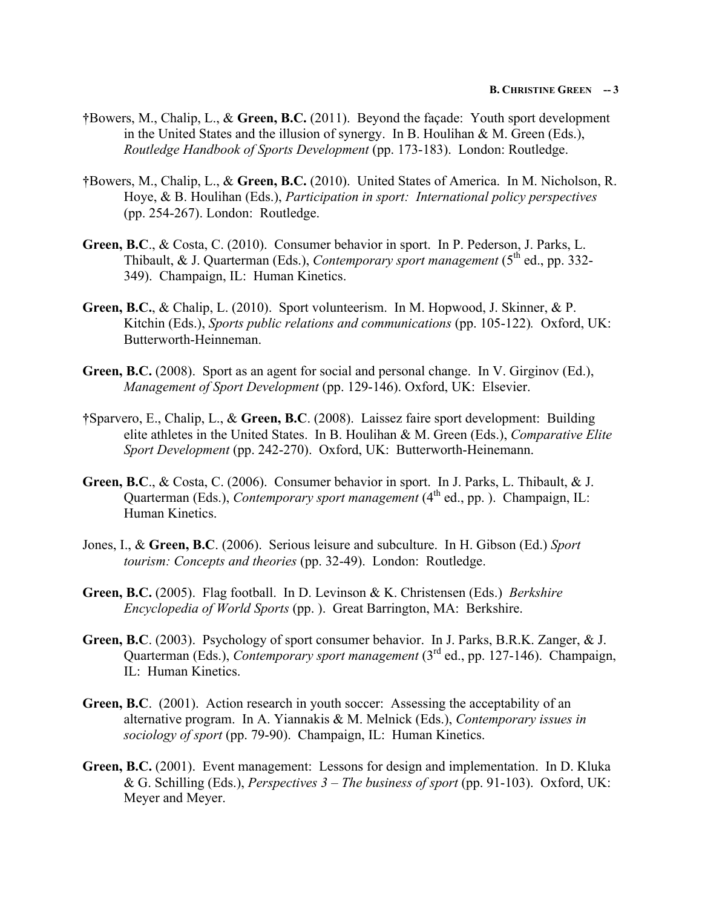- **†**Bowers, M., Chalip, L., & **Green, B.C.** (2011). Beyond the façade: Youth sport development in the United States and the illusion of synergy. In B. Houlihan & M. Green (Eds.), *Routledge Handbook of Sports Development* (pp. 173-183). London: Routledge.
- **†**Bowers, M., Chalip, L., & **Green, B.C.** (2010). United States of America. In M. Nicholson, R. Hoye, & B. Houlihan (Eds.), *Participation in sport: International policy perspectives* (pp. 254-267). London: Routledge.
- **Green, B.C**., & Costa, C. (2010). Consumer behavior in sport. In P. Pederson, J. Parks, L. Thibault, & J. Quarterman (Eds.), *Contemporary sport management* (5<sup>th</sup> ed., pp. 332-349). Champaign, IL: Human Kinetics.
- **Green, B.C.**, & Chalip, L. (2010). Sport volunteerism. In M. Hopwood, J. Skinner, & P. Kitchin (Eds.), *Sports public relations and communications* (pp. 105-122)*.* Oxford, UK: Butterworth-Heinneman.
- **Green, B.C.** (2008). Sport as an agent for social and personal change. In V. Girginov (Ed.), *Management of Sport Development* (pp. 129-146). Oxford, UK: Elsevier.
- **†**Sparvero, E., Chalip, L., & **Green, B.C**. (2008). Laissez faire sport development: Building elite athletes in the United States. In B. Houlihan & M. Green (Eds.), *Comparative Elite Sport Development* (pp. 242-270). Oxford, UK: Butterworth-Heinemann.
- **Green, B.C**., & Costa, C. (2006). Consumer behavior in sport. In J. Parks, L. Thibault, & J. Quarterman (Eds.), *Contemporary sport management* (4<sup>th</sup> ed., pp.). Champaign, IL: Human Kinetics.
- Jones, I., & **Green, B.C**. (2006). Serious leisure and subculture. In H. Gibson (Ed.) *Sport tourism: Concepts and theories* (pp. 32-49). London: Routledge.
- **Green, B.C.** (2005). Flag football. In D. Levinson & K. Christensen (Eds.) *Berkshire Encyclopedia of World Sports* (pp. ). Great Barrington, MA: Berkshire.
- **Green, B.C**. (2003). Psychology of sport consumer behavior. In J. Parks, B.R.K. Zanger, & J. Quarterman (Eds.), *Contemporary sport management* (3rd ed., pp. 127-146). Champaign, IL: Human Kinetics.
- **Green, B.C**. (2001). Action research in youth soccer: Assessing the acceptability of an alternative program. In A. Yiannakis & M. Melnick (Eds.), *Contemporary issues in sociology of sport* (pp. 79-90). Champaign, IL: Human Kinetics.
- **Green, B.C.** (2001).Event management: Lessons for design and implementation. In D. Kluka & G. Schilling (Eds.), *Perspectives 3 – The business of sport* (pp. 91-103). Oxford, UK: Meyer and Meyer.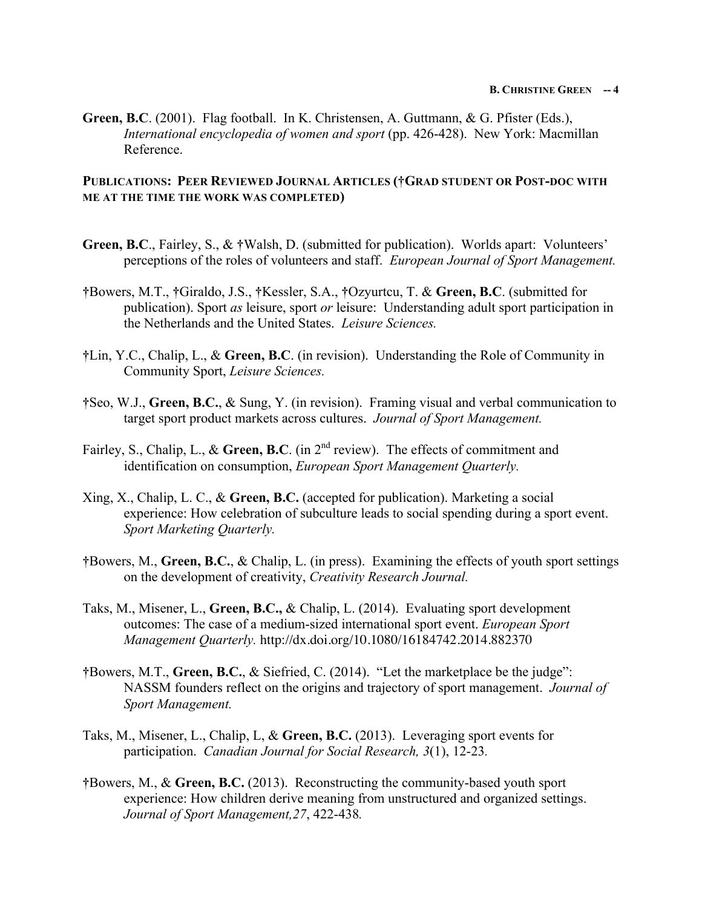**Green, B.C**. (2001). Flag football. In K. Christensen, A. Guttmann, & G. Pfister (Eds.), *International encyclopedia of women and sport* (pp. 426-428). New York: Macmillan Reference.

## **PUBLICATIONS: PEER REVIEWED JOURNAL ARTICLES (†GRAD STUDENT OR POST-DOC WITH ME AT THE TIME THE WORK WAS COMPLETED)**

- **Green, B.C**., Fairley, S., & **†**Walsh, D. (submitted for publication). Worlds apart: Volunteers' perceptions of the roles of volunteers and staff. *European Journal of Sport Management.*
- **†**Bowers, M.T., **†**Giraldo, J.S., **†**Kessler, S.A., **†**Ozyurtcu, T. & **Green, B.C**. (submitted for publication). Sport *as* leisure, sport *or* leisure: Understanding adult sport participation in the Netherlands and the United States. *Leisure Sciences.*
- **†**Lin, Y.C., Chalip, L., & **Green, B.C**. (in revision). Understanding the Role of Community in Community Sport, *Leisure Sciences.*
- **†**Seo, W.J., **Green, B.C.**, & Sung, Y. (in revision). Framing visual and verbal communication to target sport product markets across cultures. *Journal of Sport Management.*
- Fairley, S., Chalip, L., & Green, B.C. (in 2<sup>nd</sup> review). The effects of commitment and identification on consumption, *European Sport Management Quarterly.*
- Xing, X., Chalip, L. C., & **Green, B.C.** (accepted for publication). Marketing a social experience: How celebration of subculture leads to social spending during a sport event. *Sport Marketing Quarterly.*
- **†**Bowers, M., **Green, B.C.**, & Chalip, L. (in press). Examining the effects of youth sport settings on the development of creativity, *Creativity Research Journal.*
- Taks, M., Misener, L., **Green, B.C.,** & Chalip, L. (2014). Evaluating sport development outcomes: The case of a medium-sized international sport event. *European Sport Management Quarterly.* http://dx.doi.org/10.1080/16184742.2014.882370
- **†**Bowers, M.T., **Green, B.C.**, & Siefried, C. (2014). "Let the marketplace be the judge": NASSM founders reflect on the origins and trajectory of sport management. *Journal of Sport Management.*
- Taks, M., Misener, L., Chalip, L, & **Green, B.C.** (2013). Leveraging sport events for participation. *Canadian Journal for Social Research, 3*(1), 12-23*.*
- **†**Bowers, M., & **Green, B.C.** (2013). Reconstructing the community-based youth sport experience: How children derive meaning from unstructured and organized settings. *Journal of Sport Management,27*, 422-438*.*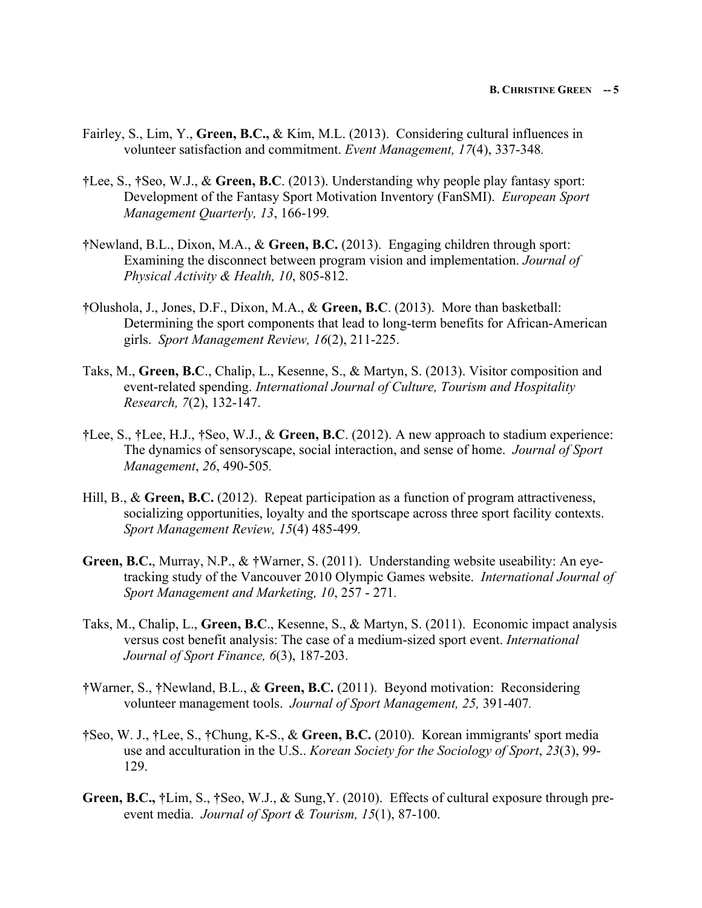- Fairley, S., Lim, Y., **Green, B.C.,** & Kim, M.L. (2013). Considering cultural influences in volunteer satisfaction and commitment. *Event Management, 17*(4), 337-348*.*
- **†**Lee, S., **†**Seo, W.J., & **Green, B.C**. (2013). Understanding why people play fantasy sport: Development of the Fantasy Sport Motivation Inventory (FanSMI). *European Sport Management Quarterly, 13*, 166-199*.*
- **†**Newland, B.L., Dixon, M.A., & **Green, B.C.** (2013). Engaging children through sport: Examining the disconnect between program vision and implementation. *Journal of Physical Activity & Health, 10*, 805-812.
- **†**Olushola, J., Jones, D.F., Dixon, M.A., & **Green, B.C**. (2013). More than basketball: Determining the sport components that lead to long-term benefits for African-American girls. *Sport Management Review, 16*(2), 211-225.
- Taks, M., **Green, B.C**., Chalip, L., Kesenne, S., & Martyn, S. (2013). Visitor composition and event-related spending. *International Journal of Culture, Tourism and Hospitality Research, 7*(2), 132-147.
- **†**Lee, S., **†**Lee, H.J., **†**Seo, W.J., & **Green, B.C**. (2012). A new approach to stadium experience: The dynamics of sensoryscape, social interaction, and sense of home. *Journal of Sport Management*, *26*, 490-505*.*
- Hill, B., & **Green, B.C.** (2012). Repeat participation as a function of program attractiveness, socializing opportunities, loyalty and the sportscape across three sport facility contexts. *Sport Management Review, 15*(4) 485-499*.*
- **Green, B.C.**, Murray, N.P., & **†**Warner, S. (2011). Understanding website useability: An eyetracking study of the Vancouver 2010 Olympic Games website. *International Journal of Sport Management and Marketing, 10*, 257 - 271*.*
- Taks, M., Chalip, L., **Green, B.C**., Kesenne, S., & Martyn, S. (2011). Economic impact analysis versus cost benefit analysis: The case of a medium-sized sport event. *International Journal of Sport Finance, 6*(3), 187-203.
- **†**Warner, S., **†**Newland, B.L., & **Green, B.C.** (2011). Beyond motivation: Reconsidering volunteer management tools. *Journal of Sport Management, 25,* 391-407*.*
- **†**Seo, W. J., **†**Lee, S., **†**Chung, K-S., & **Green, B.C.** (2010). Korean immigrants' sport media use and acculturation in the U.S.. *Korean Society for the Sociology of Sport*, *23*(3), 99- 129.
- **Green, B.C., †**Lim, S., **†**Seo, W.J., & Sung,Y. (2010). Effects of cultural exposure through preevent media. *Journal of Sport & Tourism, 15*(1), 87-100.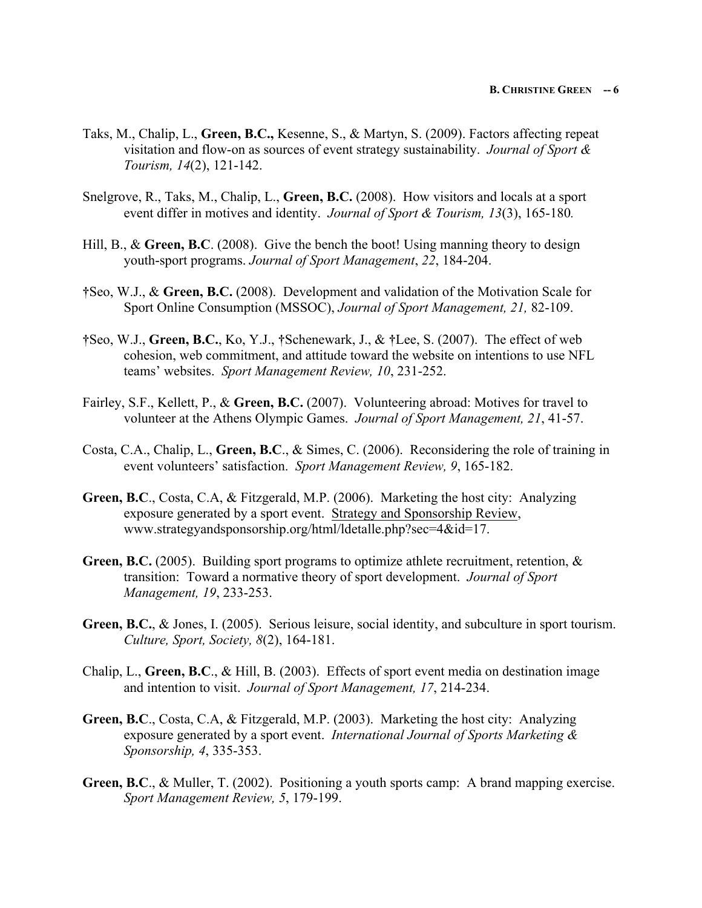- Taks, M., Chalip, L., **Green, B.C.,** Kesenne, S., & Martyn, S. (2009). Factors affecting repeat visitation and flow-on as sources of event strategy sustainability. *Journal of Sport & Tourism, 14*(2), 121-142.
- Snelgrove, R., Taks, M., Chalip, L., **Green, B.C.** (2008). How visitors and locals at a sport event differ in motives and identity. *Journal of Sport & Tourism, 13*(3), 165-180*.*
- Hill, B., & Green, B.C. (2008). Give the bench the boot! Using manning theory to design youth-sport programs. *Journal of Sport Management*, *22*, 184-204.
- **†**Seo, W.J., & **Green, B.C.** (2008). Development and validation of the Motivation Scale for Sport Online Consumption (MSSOC), *Journal of Sport Management, 21,* 82-109.
- **†**Seo, W.J., **Green, B.C.**, Ko, Y.J., **†**Schenewark, J., & **†**Lee, S. (2007). The effect of web cohesion, web commitment, and attitude toward the website on intentions to use NFL teams' websites. *Sport Management Review, 10*, 231-252.
- Fairley, S.F., Kellett, P., & **Green, B.C.** (2007). Volunteering abroad: Motives for travel to volunteer at the Athens Olympic Games. *Journal of Sport Management, 21*, 41-57.
- Costa, C.A., Chalip, L., **Green, B.C**., & Simes, C. (2006). Reconsidering the role of training in event volunteers' satisfaction. *Sport Management Review, 9*, 165-182.
- **Green, B.C**., Costa, C.A, & Fitzgerald, M.P. (2006). Marketing the host city: Analyzing exposure generated by a sport event. Strategy and Sponsorship Review, www.strategyandsponsorship.org/html/ldetalle.php?sec=4&id=17.
- **Green, B.C.** (2005). Building sport programs to optimize athlete recruitment, retention, & transition: Toward a normative theory of sport development. *Journal of Sport Management, 19*, 233-253.
- **Green, B.C.**, & Jones, I. (2005). Serious leisure, social identity, and subculture in sport tourism. *Culture, Sport, Society, 8*(2), 164-181.
- Chalip, L., **Green, B.C**., & Hill, B. (2003). Effects of sport event media on destination image and intention to visit. *Journal of Sport Management, 17*, 214-234.
- **Green, B.C**., Costa, C.A, & Fitzgerald, M.P. (2003). Marketing the host city: Analyzing exposure generated by a sport event. *International Journal of Sports Marketing & Sponsorship, 4*, 335-353.
- **Green, B.C**., & Muller, T. (2002). Positioning a youth sports camp: A brand mapping exercise. *Sport Management Review, 5*, 179-199.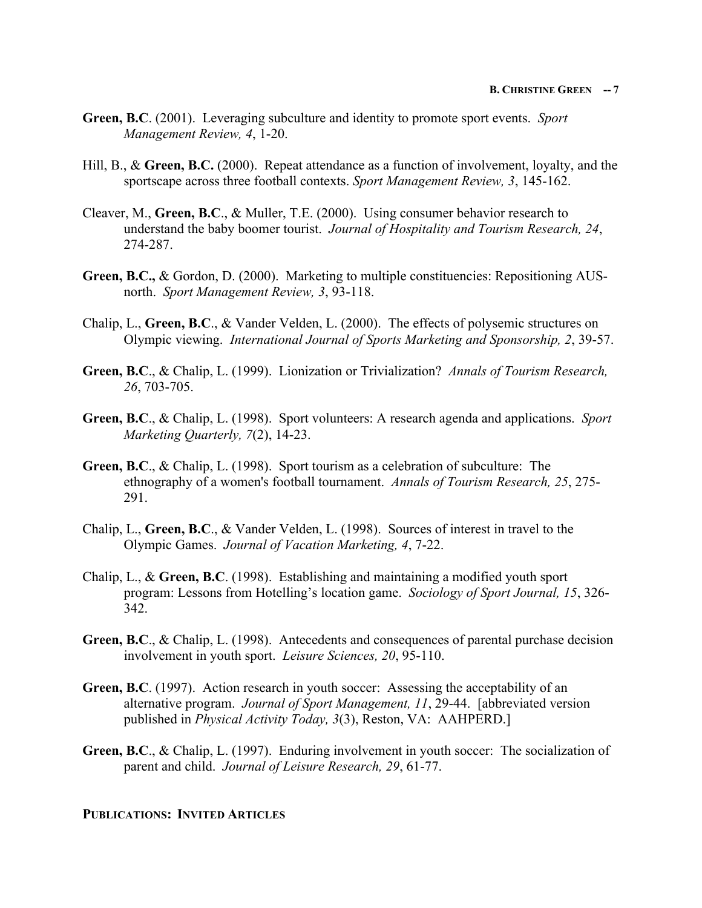- **Green, B.C**. (2001). Leveraging subculture and identity to promote sport events. *Sport Management Review, 4*, 1-20.
- Hill, B., & **Green, B.C.** (2000). Repeat attendance as a function of involvement, loyalty, and the sportscape across three football contexts. *Sport Management Review, 3*, 145-162.
- Cleaver, M., **Green, B.C**., & Muller, T.E. (2000). Using consumer behavior research to understand the baby boomer tourist. *Journal of Hospitality and Tourism Research, 24*, 274-287.
- **Green, B.C.,** & Gordon, D. (2000). Marketing to multiple constituencies: Repositioning AUSnorth. *Sport Management Review, 3*, 93-118.
- Chalip, L., **Green, B.C**., & Vander Velden, L. (2000). The effects of polysemic structures on Olympic viewing. *International Journal of Sports Marketing and Sponsorship, 2*, 39-57.
- **Green, B.C**., & Chalip, L. (1999). Lionization or Trivialization? *Annals of Tourism Research, 26*, 703-705.
- **Green, B.C**., & Chalip, L. (1998). Sport volunteers: A research agenda and applications. *Sport Marketing Quarterly, 7*(2), 14-23.
- **Green, B.C**., & Chalip, L. (1998). Sport tourism as a celebration of subculture: The ethnography of a women's football tournament. *Annals of Tourism Research, 25*, 275- 291.
- Chalip, L., **Green, B.C**., & Vander Velden, L. (1998). Sources of interest in travel to the Olympic Games. *Journal of Vacation Marketing, 4*, 7-22.
- Chalip, L., & **Green, B.C**. (1998). Establishing and maintaining a modified youth sport program: Lessons from Hotelling's location game. *Sociology of Sport Journal, 15*, 326- 342.
- **Green, B.C**., & Chalip, L. (1998). Antecedents and consequences of parental purchase decision involvement in youth sport. *Leisure Sciences, 20*, 95-110.
- **Green, B.C**. (1997). Action research in youth soccer: Assessing the acceptability of an alternative program. *Journal of Sport Management, 11*, 29-44. [abbreviated version published in *Physical Activity Today, 3*(3), Reston, VA: AAHPERD.]
- **Green, B.C**., & Chalip, L. (1997). Enduring involvement in youth soccer: The socialization of parent and child. *Journal of Leisure Research, 29*, 61-77.

### **PUBLICATIONS: INVITED ARTICLES**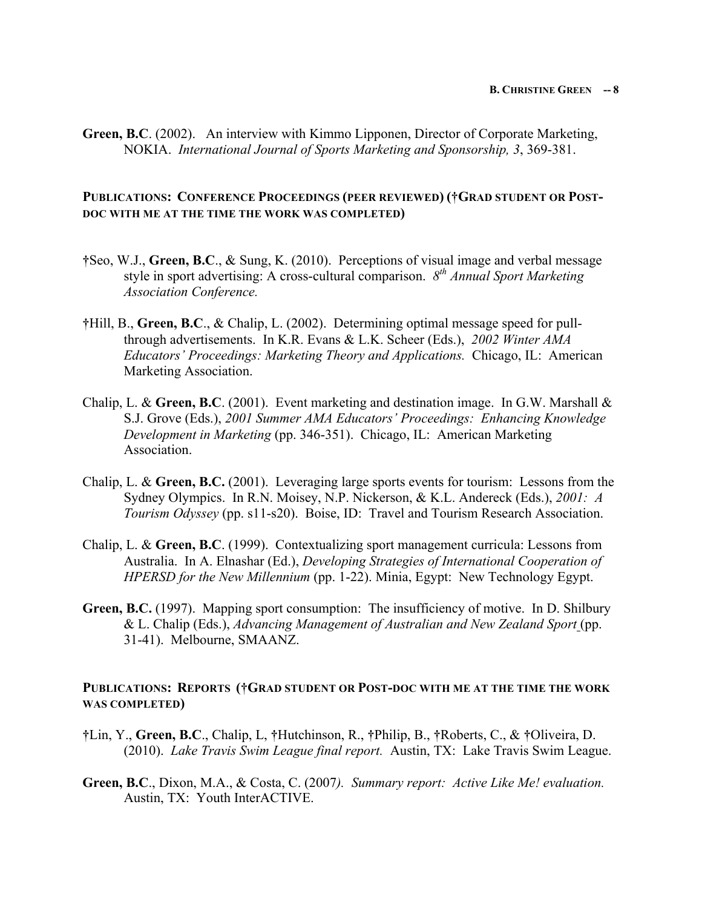**Green, B.C**. (2002). An interview with Kimmo Lipponen, Director of Corporate Marketing, NOKIA. *International Journal of Sports Marketing and Sponsorship, 3*, 369-381.

# **PUBLICATIONS: CONFERENCE PROCEEDINGS (PEER REVIEWED) (†GRAD STUDENT OR POST-DOC WITH ME AT THE TIME THE WORK WAS COMPLETED)**

- **†**Seo, W.J., **Green, B.C**., & Sung, K. (2010). Perceptions of visual image and verbal message style in sport advertising: A cross-cultural comparison. *8th Annual Sport Marketing Association Conference.*
- **†**Hill, B., **Green, B.C**., & Chalip, L. (2002). Determining optimal message speed for pullthrough advertisements. In K.R. Evans & L.K. Scheer (Eds.), *2002 Winter AMA Educators' Proceedings: Marketing Theory and Applications.* Chicago, IL: American Marketing Association.
- Chalip, L. & **Green, B.C**. (2001). Event marketing and destination image. In G.W. Marshall & S.J. Grove (Eds.), *2001 Summer AMA Educators' Proceedings: Enhancing Knowledge Development in Marketing* (pp. 346-351). Chicago, IL: American Marketing Association.
- Chalip, L. & **Green, B.C.** (2001). Leveraging large sports events for tourism: Lessons from the Sydney Olympics. In R.N. Moisey, N.P. Nickerson, & K.L. Andereck (Eds.), *2001: A Tourism Odyssey* (pp. s11-s20). Boise, ID: Travel and Tourism Research Association.
- Chalip, L. & **Green, B.C**. (1999). Contextualizing sport management curricula: Lessons from Australia. In A. Elnashar (Ed.), *Developing Strategies of International Cooperation of HPERSD for the New Millennium* (pp. 1-22). Minia, Egypt: New Technology Egypt.
- **Green, B.C.** (1997). Mapping sport consumption: The insufficiency of motive. In D. Shilbury & L. Chalip (Eds.), *Advancing Management of Australian and New Zealand Sport* (pp. 31-41). Melbourne, SMAANZ.

## **PUBLICATIONS: REPORTS (†GRAD STUDENT OR POST-DOC WITH ME AT THE TIME THE WORK WAS COMPLETED)**

- **†**Lin, Y., **Green, B.C**., Chalip, L, **†**Hutchinson, R., **†**Philip, B., **†**Roberts, C., & **†**Oliveira, D. (2010). *Lake Travis Swim League final report.* Austin, TX: Lake Travis Swim League.
- **Green, B.C**., Dixon, M.A., & Costa, C. (2007*). Summary report: Active Like Me! evaluation.*  Austin, TX: Youth InterACTIVE.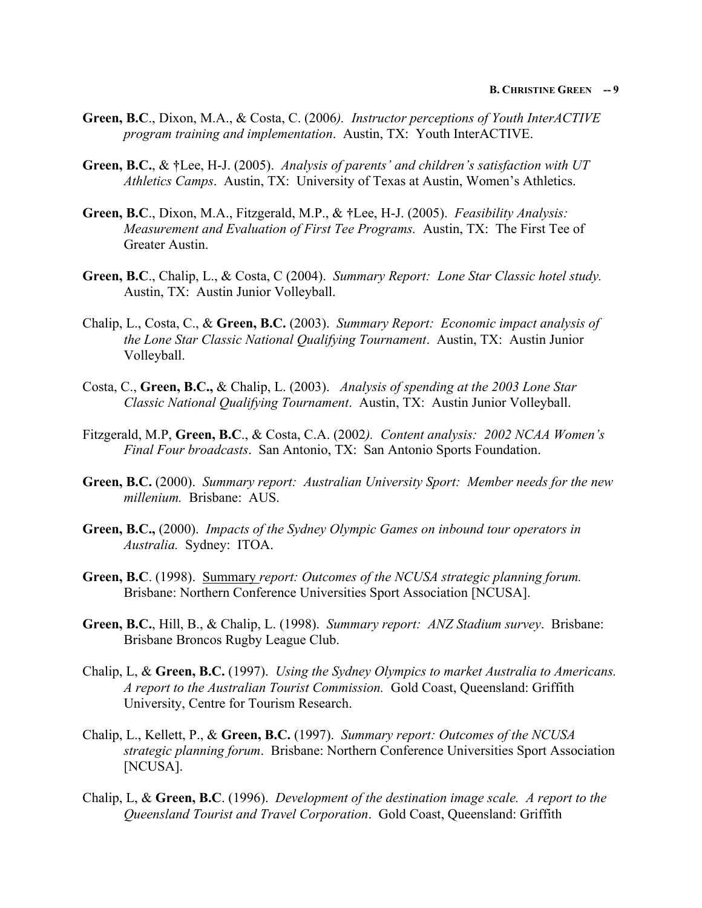- **Green, B.C**., Dixon, M.A., & Costa, C. (2006*). Instructor perceptions of Youth InterACTIVE program training and implementation*. Austin, TX: Youth InterACTIVE.
- **Green, B.C.**, & **†**Lee, H-J. (2005). *Analysis of parents' and children's satisfaction with UT Athletics Camps*. Austin, TX: University of Texas at Austin, Women's Athletics.
- **Green, B.C**., Dixon, M.A., Fitzgerald, M.P., & **†**Lee, H-J. (2005). *Feasibility Analysis: Measurement and Evaluation of First Tee Programs.* Austin, TX: The First Tee of Greater Austin.
- **Green, B.C**., Chalip, L., & Costa, C (2004). *Summary Report: Lone Star Classic hotel study.* Austin, TX: Austin Junior Volleyball.
- Chalip, L., Costa, C., & **Green, B.C.** (2003). *Summary Report: Economic impact analysis of the Lone Star Classic National Qualifying Tournament*. Austin, TX: Austin Junior Volleyball.
- Costa, C., **Green, B.C.,** & Chalip, L. (2003). *Analysis of spending at the 2003 Lone Star Classic National Qualifying Tournament*. Austin, TX: Austin Junior Volleyball.
- Fitzgerald, M.P, **Green, B.C**., & Costa, C.A. (2002*). Content analysis: 2002 NCAA Women's Final Four broadcasts*. San Antonio, TX: San Antonio Sports Foundation.
- **Green, B.C.** (2000). *Summary report: Australian University Sport: Member needs for the new millenium.* Brisbane: AUS.
- **Green, B.C.,** (2000). *Impacts of the Sydney Olympic Games on inbound tour operators in Australia.* Sydney: ITOA.
- **Green, B.C**. (1998). Summary *report: Outcomes of the NCUSA strategic planning forum.*  Brisbane: Northern Conference Universities Sport Association [NCUSA].
- **Green, B.C.**, Hill, B., & Chalip, L. (1998). *Summary report: ANZ Stadium survey*. Brisbane: Brisbane Broncos Rugby League Club.
- Chalip, L, & **Green, B.C.** (1997). *Using the Sydney Olympics to market Australia to Americans. A report to the Australian Tourist Commission.* Gold Coast, Queensland: Griffith University, Centre for Tourism Research.
- Chalip, L., Kellett, P., & **Green, B.C.** (1997). *Summary report: Outcomes of the NCUSA strategic planning forum*. Brisbane: Northern Conference Universities Sport Association [NCUSA].
- Chalip, L, & **Green, B.C**. (1996). *Development of the destination image scale. A report to the Queensland Tourist and Travel Corporation*. Gold Coast, Queensland: Griffith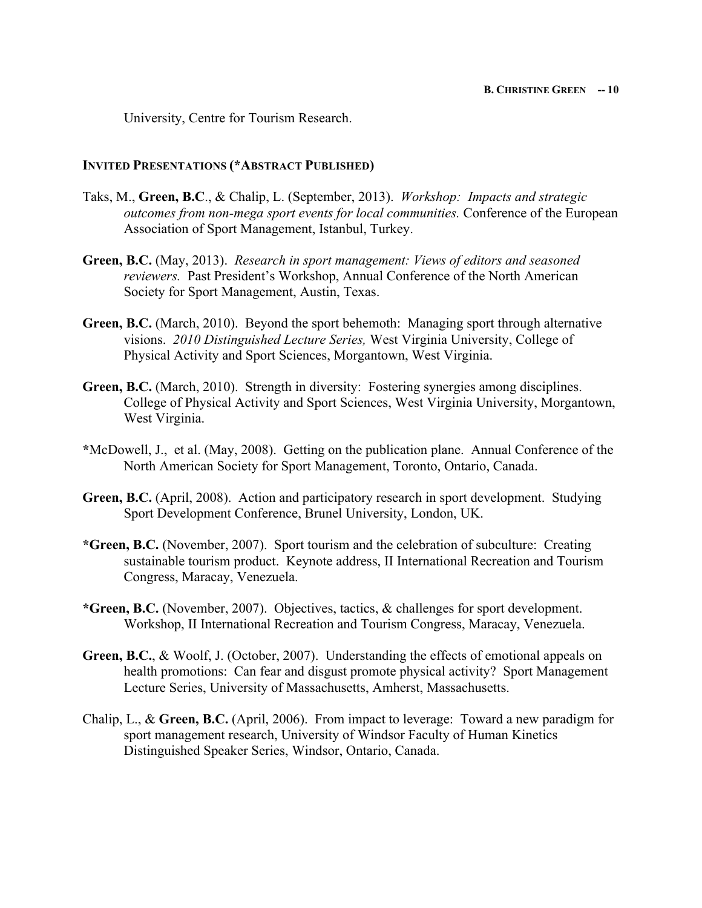University, Centre for Tourism Research.

# **INVITED PRESENTATIONS (\*ABSTRACT PUBLISHED)**

- Taks, M., **Green, B.C**., & Chalip, L. (September, 2013). *Workshop: Impacts and strategic outcomes from non-mega sport events for local communities.* Conference of the European Association of Sport Management, Istanbul, Turkey.
- **Green, B.C.** (May, 2013). *Research in sport management: Views of editors and seasoned reviewers.* Past President's Workshop, Annual Conference of the North American Society for Sport Management, Austin, Texas.
- **Green, B.C.** (March, 2010). Beyond the sport behemoth: Managing sport through alternative visions. *2010 Distinguished Lecture Series,* West Virginia University, College of Physical Activity and Sport Sciences, Morgantown, West Virginia.
- **Green, B.C.** (March, 2010). Strength in diversity: Fostering synergies among disciplines. College of Physical Activity and Sport Sciences, West Virginia University, Morgantown, West Virginia.
- **\***McDowell, J., et al. (May, 2008). Getting on the publication plane. Annual Conference of the North American Society for Sport Management, Toronto, Ontario, Canada.
- **Green, B.C.** (April, 2008). Action and participatory research in sport development. Studying Sport Development Conference, Brunel University, London, UK.
- **\*Green, B.C.** (November, 2007). Sport tourism and the celebration of subculture: Creating sustainable tourism product. Keynote address, II International Recreation and Tourism Congress, Maracay, Venezuela.
- **\*Green, B.C.** (November, 2007). Objectives, tactics, & challenges for sport development. Workshop, II International Recreation and Tourism Congress, Maracay, Venezuela.
- **Green, B.C.**, & Woolf, J. (October, 2007). Understanding the effects of emotional appeals on health promotions: Can fear and disgust promote physical activity? Sport Management Lecture Series, University of Massachusetts, Amherst, Massachusetts.
- Chalip, L., & **Green, B.C.** (April, 2006). From impact to leverage: Toward a new paradigm for sport management research, University of Windsor Faculty of Human Kinetics Distinguished Speaker Series, Windsor, Ontario, Canada.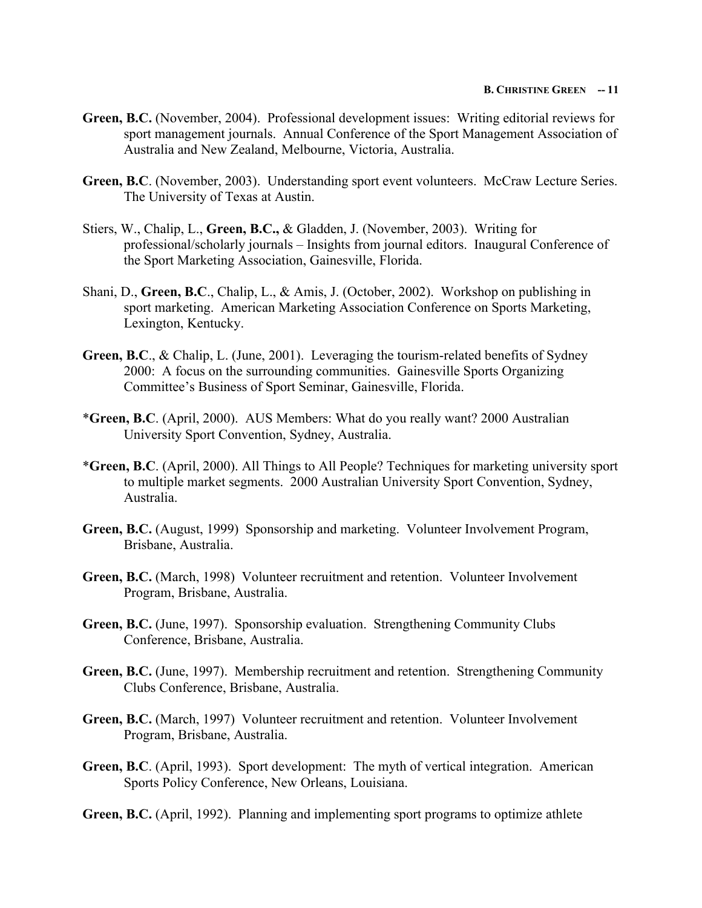#### **B. CHRISTINE GREEN -- 11**

- **Green, B.C.** (November, 2004). Professional development issues: Writing editorial reviews for sport management journals. Annual Conference of the Sport Management Association of Australia and New Zealand, Melbourne, Victoria, Australia.
- **Green, B.C**. (November, 2003). Understanding sport event volunteers. McCraw Lecture Series. The University of Texas at Austin.
- Stiers, W., Chalip, L., **Green, B.C.,** & Gladden, J. (November, 2003). Writing for professional/scholarly journals – Insights from journal editors. Inaugural Conference of the Sport Marketing Association, Gainesville, Florida.
- Shani, D., **Green, B.C**., Chalip, L., & Amis, J. (October, 2002). Workshop on publishing in sport marketing. American Marketing Association Conference on Sports Marketing, Lexington, Kentucky.
- **Green, B.C**., & Chalip, L. (June, 2001). Leveraging the tourism-related benefits of Sydney 2000: A focus on the surrounding communities. Gainesville Sports Organizing Committee's Business of Sport Seminar, Gainesville, Florida.
- \***Green, B.C**. (April, 2000). AUS Members: What do you really want? 2000 Australian University Sport Convention, Sydney, Australia.
- \***Green, B.C**. (April, 2000). All Things to All People? Techniques for marketing university sport to multiple market segments. 2000 Australian University Sport Convention, Sydney, Australia.
- **Green, B.C.** (August, 1999) Sponsorship and marketing. Volunteer Involvement Program, Brisbane, Australia.
- **Green, B.C.** (March, 1998) Volunteer recruitment and retention. Volunteer Involvement Program, Brisbane, Australia.
- **Green, B.C.** (June, 1997). Sponsorship evaluation. Strengthening Community Clubs Conference, Brisbane, Australia.
- **Green, B.C.** (June, 1997). Membership recruitment and retention. Strengthening Community Clubs Conference, Brisbane, Australia.
- **Green, B.C.** (March, 1997) Volunteer recruitment and retention. Volunteer Involvement Program, Brisbane, Australia.
- **Green, B.C**. (April, 1993). Sport development: The myth of vertical integration. American Sports Policy Conference, New Orleans, Louisiana.
- **Green, B.C.** (April, 1992). Planning and implementing sport programs to optimize athlete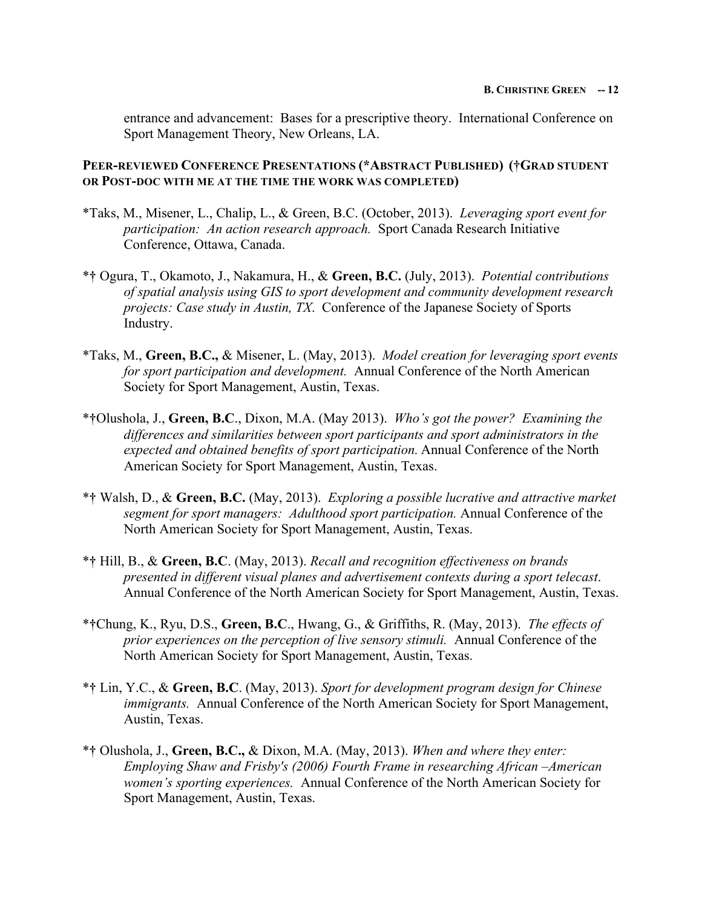entrance and advancement: Bases for a prescriptive theory. International Conference on Sport Management Theory, New Orleans, LA.

**PEER-REVIEWED CONFERENCE PRESENTATIONS (\*ABSTRACT PUBLISHED) (†GRAD STUDENT OR POST-DOC WITH ME AT THE TIME THE WORK WAS COMPLETED)**

- \*Taks, M., Misener, L., Chalip, L., & Green, B.C. (October, 2013). *Leveraging sport event for participation: An action research approach.* Sport Canada Research Initiative Conference, Ottawa, Canada.
- \***†** Ogura, T., Okamoto, J., Nakamura, H., & **Green, B.C.** (July, 2013). *Potential contributions of spatial analysis using GIS to sport development and community development research projects: Case study in Austin, TX*. Conference of the Japanese Society of Sports Industry.
- \*Taks, M., **Green, B.C.,** & Misener, L. (May, 2013). *Model creation for leveraging sport events for sport participation and development.* Annual Conference of the North American Society for Sport Management, Austin, Texas.
- \***†**Olushola, J., **Green, B.C**., Dixon, M.A. (May 2013). *Who's got the power? Examining the differences and similarities between sport participants and sport administrators in the expected and obtained benefits of sport participation.* Annual Conference of the North American Society for Sport Management, Austin, Texas.
- \***†** Walsh, D., & **Green, B.C.** (May, 2013). *Exploring a possible lucrative and attractive market segment for sport managers: Adulthood sport participation.* Annual Conference of the North American Society for Sport Management, Austin, Texas.
- \***†** Hill, B., & **Green, B.C**. (May, 2013). *Recall and recognition effectiveness on brands presented in different visual planes and advertisement contexts during a sport telecast*. Annual Conference of the North American Society for Sport Management, Austin, Texas.
- \***†**Chung, K., Ryu, D.S., **Green, B.C**., Hwang, G., & Griffiths, R. (May, 2013). *The effects of prior experiences on the perception of live sensory stimuli.* Annual Conference of the North American Society for Sport Management, Austin, Texas.
- \***†** Lin, Y.C., & **Green, B.C**. (May, 2013). *Sport for development program design for Chinese immigrants.* Annual Conference of the North American Society for Sport Management, Austin, Texas.
- \***†** Olushola, J., **Green, B.C.,** & Dixon, M.A. (May, 2013). *When and where they enter: Employing Shaw and Frisby's (2006) Fourth Frame in researching African –American women's sporting experiences.* Annual Conference of the North American Society for Sport Management, Austin, Texas.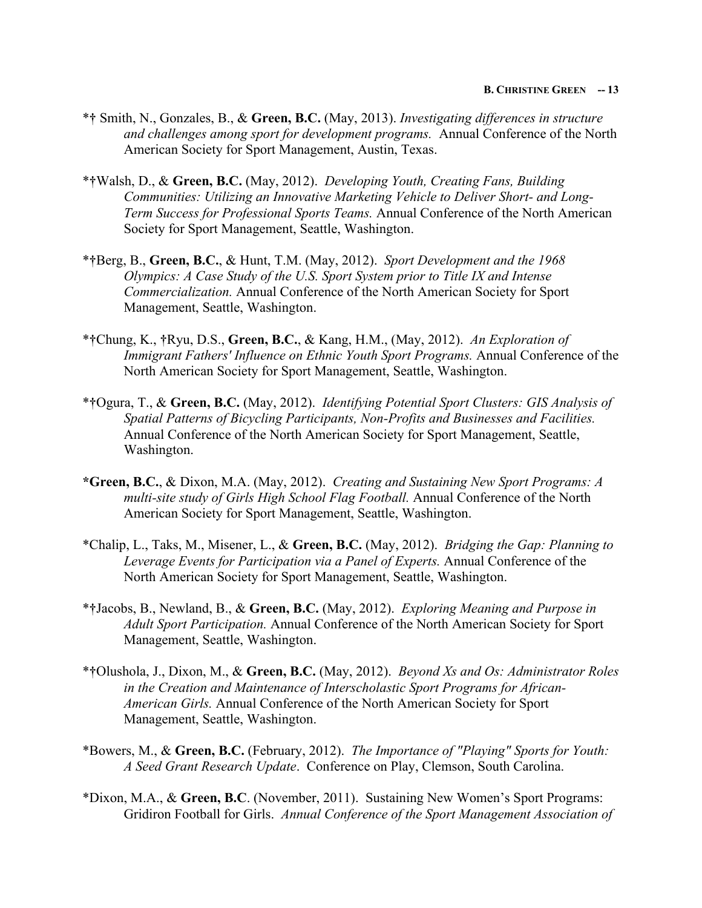- \***†** Smith, N., Gonzales, B., & **Green, B.C.** (May, 2013). *Investigating differences in structure and challenges among sport for development programs.* Annual Conference of the North American Society for Sport Management, Austin, Texas.
- \***†**Walsh, D., & **Green, B.C.** (May, 2012). *Developing Youth, Creating Fans, Building Communities: Utilizing an Innovative Marketing Vehicle to Deliver Short- and Long-Term Success for Professional Sports Teams.* Annual Conference of the North American Society for Sport Management, Seattle, Washington.
- \***†**Berg, B., **Green, B.C.**, & Hunt, T.M. (May, 2012). *Sport Development and the 1968 Olympics: A Case Study of the U.S. Sport System prior to Title IX and Intense Commercialization.* Annual Conference of the North American Society for Sport Management, Seattle, Washington.
- \***†**Chung, K., **†**Ryu, D.S., **Green, B.C.**, & Kang, H.M., (May, 2012). *An Exploration of Immigrant Fathers' Influence on Ethnic Youth Sport Programs.* Annual Conference of the North American Society for Sport Management, Seattle, Washington.
- \***†**Ogura, T., & **Green, B.C.** (May, 2012). *Identifying Potential Sport Clusters: GIS Analysis of Spatial Patterns of Bicycling Participants, Non-Profits and Businesses and Facilities.*  Annual Conference of the North American Society for Sport Management, Seattle, Washington.
- **\*Green, B.C.**, & Dixon, M.A. (May, 2012). *Creating and Sustaining New Sport Programs: A multi-site study of Girls High School Flag Football.* Annual Conference of the North American Society for Sport Management, Seattle, Washington.
- \*Chalip, L., Taks, M., Misener, L., & **Green, B.C.** (May, 2012). *Bridging the Gap: Planning to Leverage Events for Participation via a Panel of Experts.* Annual Conference of the North American Society for Sport Management, Seattle, Washington.
- \***†**Jacobs, B., Newland, B., & **Green, B.C.** (May, 2012). *Exploring Meaning and Purpose in Adult Sport Participation.* Annual Conference of the North American Society for Sport Management, Seattle, Washington.
- \***†**Olushola, J., Dixon, M., & **Green, B.C.** (May, 2012). *Beyond Xs and Os: Administrator Roles in the Creation and Maintenance of Interscholastic Sport Programs for African-American Girls.* Annual Conference of the North American Society for Sport Management, Seattle, Washington.
- \*Bowers, M., & **Green, B.C.** (February, 2012). *The Importance of "Playing" Sports for Youth: A Seed Grant Research Update*. Conference on Play, Clemson, South Carolina.
- \*Dixon, M.A., & **Green, B.C**. (November, 2011). Sustaining New Women's Sport Programs: Gridiron Football for Girls. *Annual Conference of the Sport Management Association of*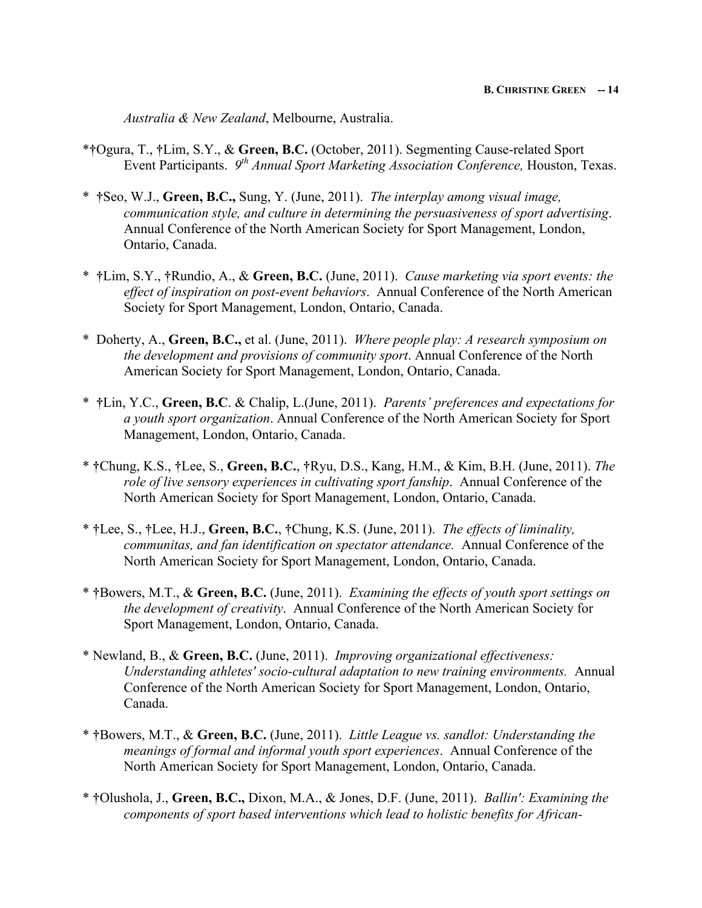*Australia & New Zealand*, Melbourne, Australia.

- \***†**Ogura, T., **†**Lim, S.Y., & **Green, B.C.** (October, 2011). Segmenting Cause-related Sport Event Participants. *9th Annual Sport Marketing Association Conference,* Houston, Texas.
- \* **†**Seo, W.J., **Green, B.C.,** Sung, Y. (June, 2011). *The interplay among visual image, communication style, and culture in determining the persuasiveness of sport advertising*. Annual Conference of the North American Society for Sport Management, London, Ontario, Canada.
- \* **†**Lim, S.Y., **†**Rundio, A., & **Green, B.C.** (June, 2011). *Cause marketing via sport events: the effect of inspiration on post-event behaviors*. Annual Conference of the North American Society for Sport Management, London, Ontario, Canada.
- \* Doherty, A., **Green, B.C.,** et al. (June, 2011). *Where people play: A research symposium on the development and provisions of community sport*. Annual Conference of the North American Society for Sport Management, London, Ontario, Canada.
- \* **†**Lin, Y.C., **Green, B.C**. & Chalip, L.(June, 2011). *Parents' preferences and expectations for a youth sport organization*. Annual Conference of the North American Society for Sport Management, London, Ontario, Canada.
- \* **†**Chung, K.S., **†**Lee, S., **Green, B.C.**, **†**Ryu, D.S., Kang, H.M., & Kim, B.H. (June, 2011). *The role of live sensory experiences in cultivating sport fanship*. Annual Conference of the North American Society for Sport Management, London, Ontario, Canada.
- \* **†**Lee, S., **†**Lee, H.J., **Green, B.C.**, **†**Chung, K.S. (June, 2011). *The effects of liminality, communitas, and fan identification on spectator attendance.* Annual Conference of the North American Society for Sport Management, London, Ontario, Canada.
- \* **†**Bowers, M.T., & **Green, B.C.** (June, 2011). *Examining the effects of youth sport settings on the development of creativity*. Annual Conference of the North American Society for Sport Management, London, Ontario, Canada.
- \* Newland, B., & **Green, B.C.** (June, 2011). *Improving organizational effectiveness: Understanding athletes' socio-cultural adaptation to new training environments.* Annual Conference of the North American Society for Sport Management, London, Ontario, Canada.
- \* **†**Bowers, M.T., & **Green, B.C.** (June, 2011). *Little League vs. sandlot: Understanding the meanings of formal and informal youth sport experiences*. Annual Conference of the North American Society for Sport Management, London, Ontario, Canada.
- \* **†**Olushola, J., **Green, B.C.,** Dixon, M.A., & Jones, D.F. (June, 2011). *Ballin': Examining the components of sport based interventions which lead to holistic benefits for African-*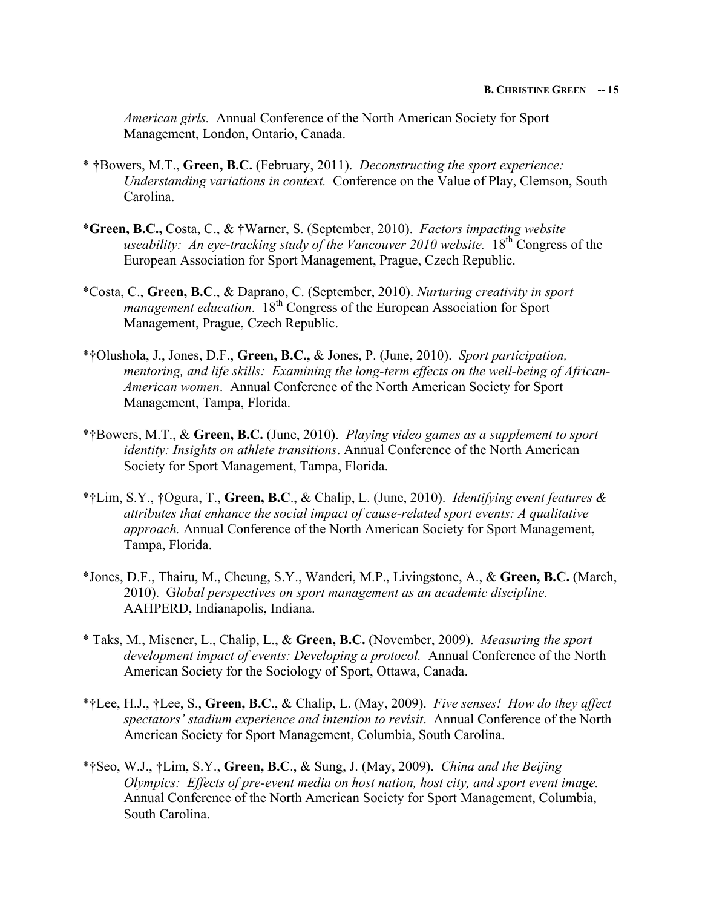*American girls.* Annual Conference of the North American Society for Sport Management, London, Ontario, Canada.

- \* **†**Bowers, M.T., **Green, B.C.** (February, 2011). *Deconstructing the sport experience: Understanding variations in context.* Conference on the Value of Play, Clemson, South Carolina.
- \***Green, B.C.,** Costa, C., & **†**Warner, S. (September, 2010). *Factors impacting website useability: An eye-tracking study of the Vancouver 2010 website.* 18<sup>th</sup> Congress of the European Association for Sport Management, Prague, Czech Republic.
- \*Costa, C., **Green, B.C**., & Daprano, C. (September, 2010). *Nurturing creativity in sport management education.* 18<sup>th</sup> Congress of the European Association for Sport Management, Prague, Czech Republic.
- \***†**Olushola, J., Jones, D.F., **Green, B.C.,** & Jones, P. (June, 2010). *Sport participation, mentoring, and life skills: Examining the long-term effects on the well-being of African-American women*. Annual Conference of the North American Society for Sport Management, Tampa, Florida.
- \***†**Bowers, M.T., & **Green, B.C.** (June, 2010). *Playing video games as a supplement to sport identity: Insights on athlete transitions*. Annual Conference of the North American Society for Sport Management, Tampa, Florida.
- \***†**Lim, S.Y., **†**Ogura, T., **Green, B.C**., & Chalip, L. (June, 2010). *Identifying event features & attributes that enhance the social impact of cause-related sport events: A qualitative approach.* Annual Conference of the North American Society for Sport Management, Tampa, Florida.
- \*Jones, D.F., Thairu, M., Cheung, S.Y., Wanderi, M.P., Livingstone, A., & **Green, B.C.** (March, 2010). G*lobal perspectives on sport management as an academic discipline.* AAHPERD, Indianapolis, Indiana.
- \* Taks, M., Misener, L., Chalip, L., & **Green, B.C.** (November, 2009). *Measuring the sport development impact of events: Developing a protocol.* Annual Conference of the North American Society for the Sociology of Sport, Ottawa, Canada.
- \***†**Lee, H.J., **†**Lee, S., **Green, B.C**., & Chalip, L. (May, 2009). *Five senses! How do they affect spectators' stadium experience and intention to revisit*. Annual Conference of the North American Society for Sport Management, Columbia, South Carolina.
- \***†**Seo, W.J., **†**Lim, S.Y., **Green, B.C**., & Sung, J. (May, 2009). *China and the Beijing Olympics: Effects of pre-event media on host nation, host city, and sport event image.* Annual Conference of the North American Society for Sport Management, Columbia, South Carolina.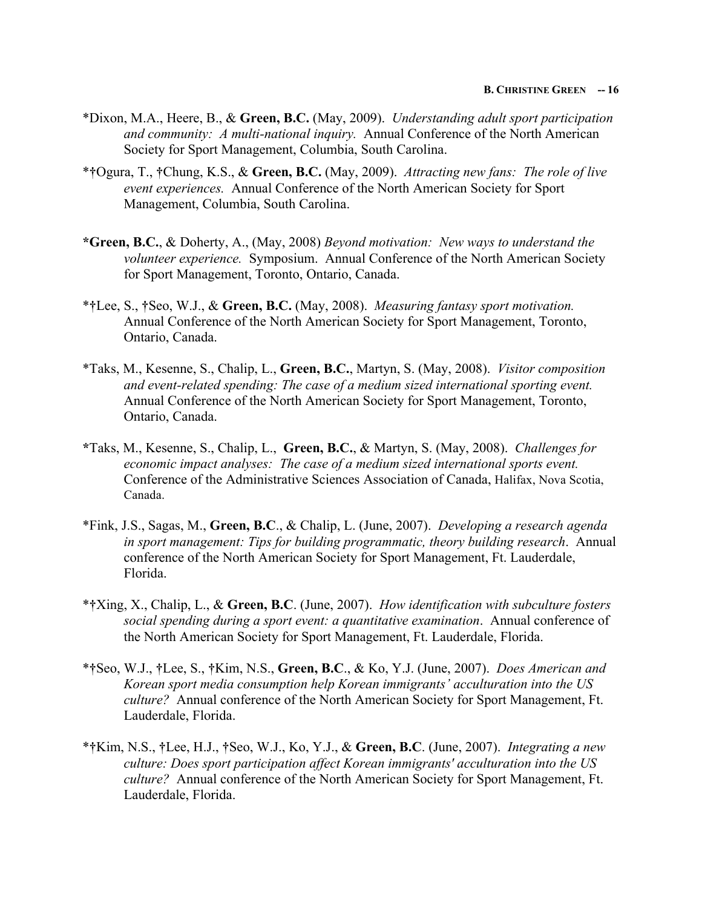- \*Dixon, M.A., Heere, B., & **Green, B.C.** (May, 2009). *Understanding adult sport participation and community: A multi-national inquiry.* Annual Conference of the North American Society for Sport Management, Columbia, South Carolina.
- \***†**Ogura, T., **†**Chung, K.S., & **Green, B.C.** (May, 2009). *Attracting new fans: The role of live event experiences.* Annual Conference of the North American Society for Sport Management, Columbia, South Carolina.
- **\*Green, B.C.**, & Doherty, A., (May, 2008) *Beyond motivation: New ways to understand the volunteer experience.* Symposium. Annual Conference of the North American Society for Sport Management, Toronto, Ontario, Canada.
- \***†**Lee, S., **†**Seo, W.J., & **Green, B.C.** (May, 2008). *Measuring fantasy sport motivation.* Annual Conference of the North American Society for Sport Management, Toronto, Ontario, Canada.
- \*Taks, M., Kesenne, S., Chalip, L., **Green, B.C.**, Martyn, S. (May, 2008). *Visitor composition and event-related spending: The case of a medium sized international sporting event.*  Annual Conference of the North American Society for Sport Management, Toronto, Ontario, Canada.
- **\***Taks, M., Kesenne, S., Chalip, L., **Green, B.C.**, & Martyn, S. (May, 2008). *Challenges for economic impact analyses: The case of a medium sized international sports event.* Conference of the Administrative Sciences Association of Canada, Halifax, Nova Scotia, Canada.
- \*Fink, J.S., Sagas, M., **Green, B.C**., & Chalip, L. (June, 2007). *Developing a research agenda in sport management: Tips for building programmatic, theory building research*. Annual conference of the North American Society for Sport Management, Ft. Lauderdale, Florida.
- \***†**Xing, X., Chalip, L., & **Green, B.C**. (June, 2007). *How identification with subculture fosters social spending during a sport event: a quantitative examination*. Annual conference of the North American Society for Sport Management, Ft. Lauderdale, Florida.
- \***†**Seo, W.J., **†**Lee, S., **†**Kim, N.S., **Green, B.C**., & Ko, Y.J. (June, 2007). *Does American and Korean sport media consumption help Korean immigrants' acculturation into the US culture?* Annual conference of the North American Society for Sport Management, Ft. Lauderdale, Florida.
- \***†**Kim, N.S., **†**Lee, H.J., **†**Seo, W.J., Ko, Y.J., & **Green, B.C**. (June, 2007). *Integrating a new culture: Does sport participation affect Korean immigrants' acculturation into the US culture?* Annual conference of the North American Society for Sport Management, Ft. Lauderdale, Florida.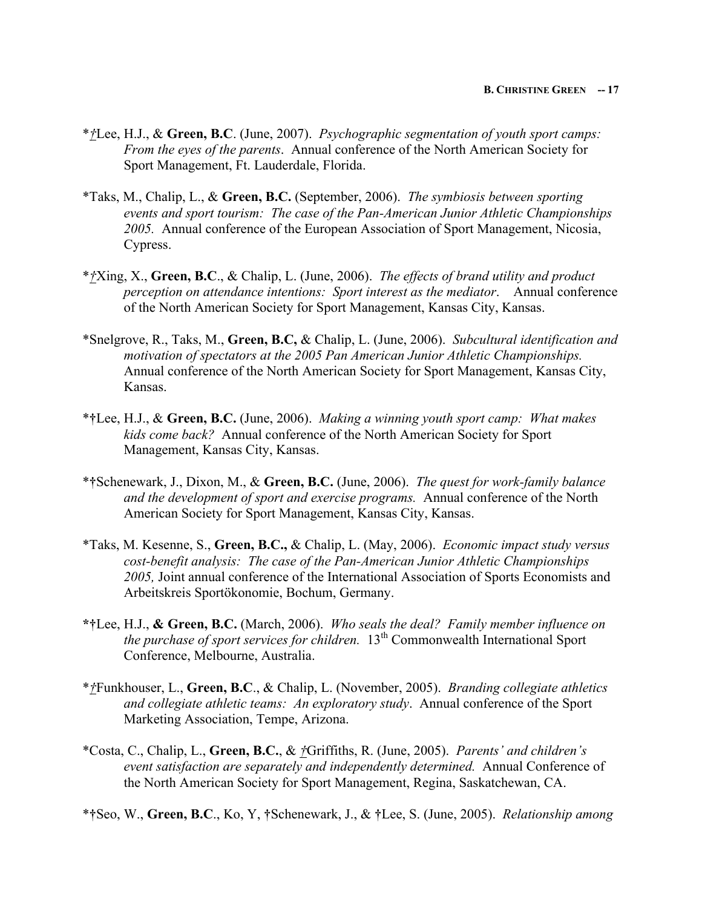- \**†*Lee, H.J., & **Green, B.C**. (June, 2007). *Psychographic segmentation of youth sport camps: From the eyes of the parents*. Annual conference of the North American Society for Sport Management, Ft. Lauderdale, Florida.
- \*Taks, M., Chalip, L., & **Green, B.C.** (September, 2006). *The symbiosis between sporting events and sport tourism: The case of the Pan-American Junior Athletic Championships 2005.* Annual conference of the European Association of Sport Management, Nicosia, Cypress.
- \**†*Xing, X., **Green, B.C**., & Chalip, L. (June, 2006). *The effects of brand utility and product perception on attendance intentions: Sport interest as the mediator*. Annual conference of the North American Society for Sport Management, Kansas City, Kansas.
- \*Snelgrove, R., Taks, M., **Green, B.C,** & Chalip, L. (June, 2006). *Subcultural identification and motivation of spectators at the 2005 Pan American Junior Athletic Championships.* Annual conference of the North American Society for Sport Management, Kansas City, Kansas.
- \***†**Lee, H.J., & **Green, B.C.** (June, 2006). *Making a winning youth sport camp: What makes kids come back?* Annual conference of the North American Society for Sport Management, Kansas City, Kansas.
- \***†**Schenewark, J., Dixon, M., & **Green, B.C.** (June, 2006). *The quest for work-family balance and the development of sport and exercise programs.* Annual conference of the North American Society for Sport Management, Kansas City, Kansas.
- \*Taks, M. Kesenne, S., **Green, B.C.,** & Chalip, L. (May, 2006). *Economic impact study versus cost-benefit analysis: The case of the Pan-American Junior Athletic Championships 2005,* Joint annual conference of the International Association of Sports Economists and Arbeitskreis Sportökonomie, Bochum, Germany.
- **\*†**Lee, H.J., **& Green, B.C.** (March, 2006). *Who seals the deal? Family member influence on the purchase of sport services for children.* 13<sup>th</sup> Commonwealth International Sport Conference, Melbourne, Australia.
- \**†*Funkhouser, L., **Green, B.C**., & Chalip, L. (November, 2005). *Branding collegiate athletics and collegiate athletic teams: An exploratory study*. Annual conference of the Sport Marketing Association, Tempe, Arizona.
- \*Costa, C., Chalip, L., **Green, B.C.**, & *†*Griffiths, R. (June, 2005). *Parents' and children's event satisfaction are separately and independently determined.* Annual Conference of the North American Society for Sport Management, Regina, Saskatchewan, CA.
- \***†**Seo, W., **Green, B.C**., Ko, Y, **†**Schenewark, J., & **†**Lee, S. (June, 2005). *Relationship among*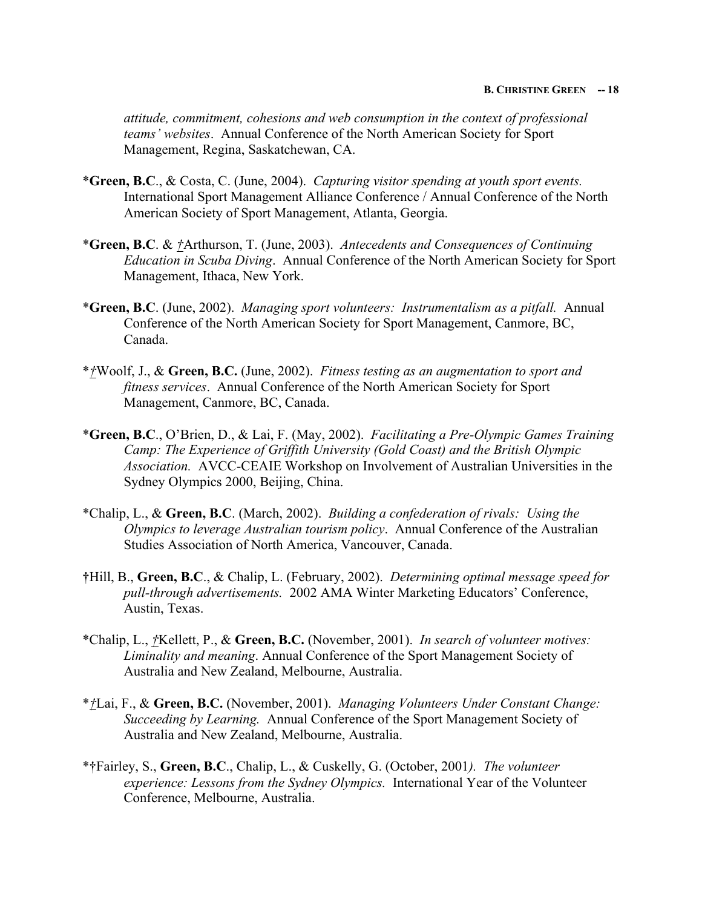*attitude, commitment, cohesions and web consumption in the context of professional teams' websites*. Annual Conference of the North American Society for Sport Management, Regina, Saskatchewan, CA.

- \***Green, B.C**., & Costa, C. (June, 2004). *Capturing visitor spending at youth sport events.* International Sport Management Alliance Conference / Annual Conference of the North American Society of Sport Management, Atlanta, Georgia.
- \***Green, B.C**. & *†*Arthurson, T. (June, 2003). *Antecedents and Consequences of Continuing Education in Scuba Diving*. Annual Conference of the North American Society for Sport Management, Ithaca, New York.
- \***Green, B.C**. (June, 2002). *Managing sport volunteers: Instrumentalism as a pitfall.* Annual Conference of the North American Society for Sport Management, Canmore, BC, Canada.
- \**†*Woolf, J., & **Green, B.C.** (June, 2002). *Fitness testing as an augmentation to sport and fitness services*. Annual Conference of the North American Society for Sport Management, Canmore, BC, Canada.
- \***Green, B.C**., O'Brien, D., & Lai, F. (May, 2002). *Facilitating a Pre-Olympic Games Training Camp: The Experience of Griffith University (Gold Coast) and the British Olympic Association.* AVCC-CEAIE Workshop on Involvement of Australian Universities in the Sydney Olympics 2000, Beijing, China.
- \*Chalip, L., & **Green, B.C**. (March, 2002). *Building a confederation of rivals: Using the Olympics to leverage Australian tourism policy*. Annual Conference of the Australian Studies Association of North America, Vancouver, Canada.
- **†**Hill, B., **Green, B.C**., & Chalip, L. (February, 2002). *Determining optimal message speed for pull-through advertisements.* 2002 AMA Winter Marketing Educators' Conference, Austin, Texas.
- \*Chalip, L., *†*Kellett, P., & **Green, B.C.** (November, 2001). *In search of volunteer motives: Liminality and meaning*. Annual Conference of the Sport Management Society of Australia and New Zealand, Melbourne, Australia.
- \**†*Lai, F., & **Green, B.C.** (November, 2001). *Managing Volunteers Under Constant Change: Succeeding by Learning.* Annual Conference of the Sport Management Society of Australia and New Zealand, Melbourne, Australia.
- \***†**Fairley, S., **Green, B.C**., Chalip, L., & Cuskelly, G. (October, 2001*). The volunteer experience: Lessons from the Sydney Olympics.* International Year of the Volunteer Conference, Melbourne, Australia.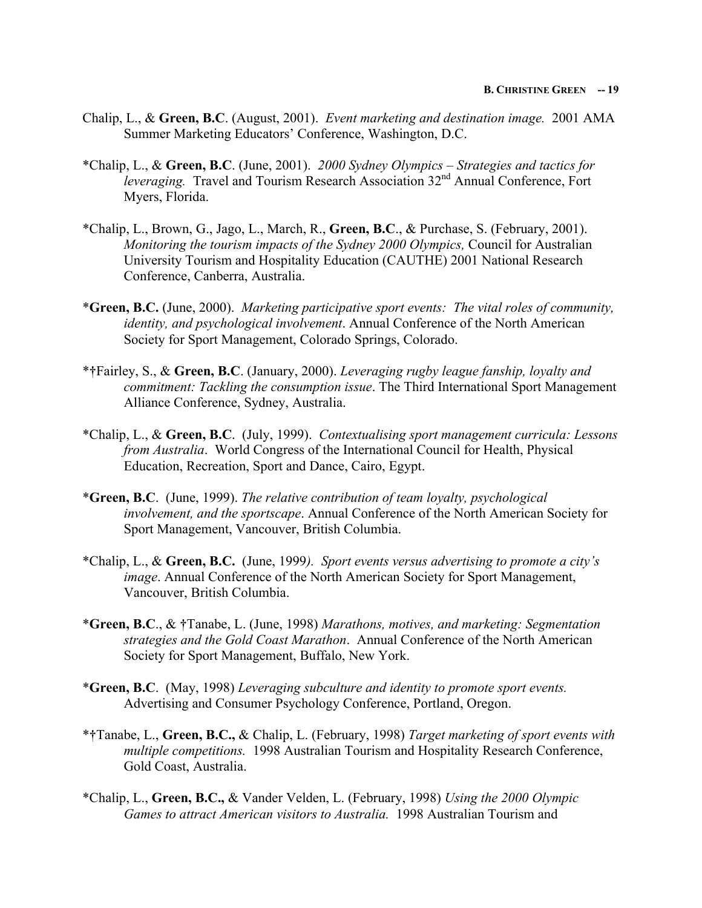- Chalip, L., & **Green, B.C**. (August, 2001). *Event marketing and destination image.* 2001 AMA Summer Marketing Educators' Conference, Washington, D.C.
- \*Chalip, L., & **Green, B.C**. (June, 2001). *2000 Sydney Olympics – Strategies and tactics for leveraging.* Travel and Tourism Research Association 32<sup>nd</sup> Annual Conference, Fort Myers, Florida.
- \*Chalip, L., Brown, G., Jago, L., March, R., **Green, B.C**., & Purchase, S. (February, 2001). *Monitoring the tourism impacts of the Sydney 2000 Olympics,* Council for Australian University Tourism and Hospitality Education (CAUTHE) 2001 National Research Conference, Canberra, Australia.
- \***Green, B.C.** (June, 2000). *Marketing participative sport events: The vital roles of community, identity, and psychological involvement*. Annual Conference of the North American Society for Sport Management, Colorado Springs, Colorado.
- \***†**Fairley, S., & **Green, B.C**. (January, 2000). *Leveraging rugby league fanship, loyalty and commitment: Tackling the consumption issue*. The Third International Sport Management Alliance Conference, Sydney, Australia.
- \*Chalip, L., & **Green, B.C**.(July, 1999). *Contextualising sport management curricula: Lessons from Australia*. World Congress of the International Council for Health, Physical Education, Recreation, Sport and Dance, Cairo, Egypt.
- \***Green, B.C**. (June, 1999). *The relative contribution of team loyalty, psychological involvement, and the sportscape*. Annual Conference of the North American Society for Sport Management, Vancouver, British Columbia.
- \*Chalip, L., & **Green, B.C.** (June, 1999*). Sport events versus advertising to promote a city's image*. Annual Conference of the North American Society for Sport Management, Vancouver, British Columbia.
- \***Green, B.C**., & **†**Tanabe, L. (June, 1998) *Marathons, motives, and marketing: Segmentation strategies and the Gold Coast Marathon*. Annual Conference of the North American Society for Sport Management, Buffalo, New York.
- \***Green, B.C**. (May, 1998) *Leveraging subculture and identity to promote sport events.* Advertising and Consumer Psychology Conference, Portland, Oregon.
- \***†**Tanabe, L., **Green, B.C.,** & Chalip, L. (February, 1998) *Target marketing of sport events with multiple competitions.* 1998 Australian Tourism and Hospitality Research Conference, Gold Coast, Australia.
- \*Chalip, L., **Green, B.C.,** & Vander Velden, L. (February, 1998) *Using the 2000 Olympic Games to attract American visitors to Australia.* 1998 Australian Tourism and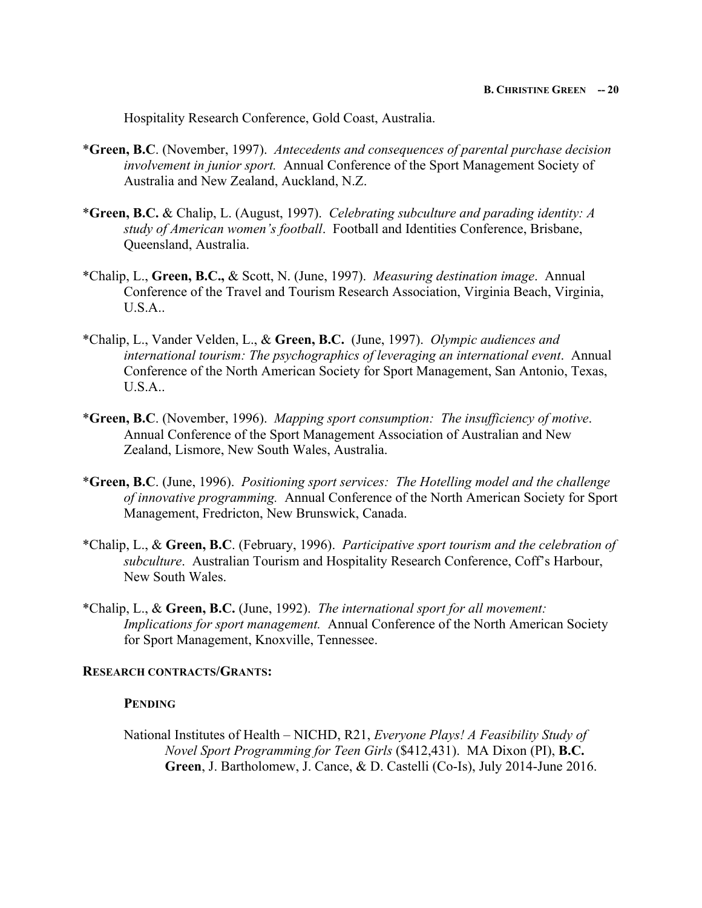Hospitality Research Conference, Gold Coast, Australia.

- \***Green, B.C**. (November, 1997). *Antecedents and consequences of parental purchase decision involvement in junior sport.* Annual Conference of the Sport Management Society of Australia and New Zealand, Auckland, N.Z.
- \***Green, B.C.** & Chalip, L. (August, 1997). *Celebrating subculture and parading identity: A study of American women's football*. Football and Identities Conference, Brisbane, Queensland, Australia.
- \*Chalip, L., **Green, B.C.,** & Scott, N. (June, 1997). *Measuring destination image*. Annual Conference of the Travel and Tourism Research Association, Virginia Beach, Virginia, U.S.A..
- \*Chalip, L., Vander Velden, L., & **Green, B.C.** (June, 1997). *Olympic audiences and international tourism: The psychographics of leveraging an international event*. Annual Conference of the North American Society for Sport Management, San Antonio, Texas, U.S.A..
- \***Green, B.C**. (November, 1996). *Mapping sport consumption: The insufficiency of motive*. Annual Conference of the Sport Management Association of Australian and New Zealand, Lismore, New South Wales, Australia.
- \***Green, B.C**. (June, 1996). *Positioning sport services: The Hotelling model and the challenge of innovative programming.* Annual Conference of the North American Society for Sport Management, Fredricton, New Brunswick, Canada.
- \*Chalip, L., & **Green, B.C**. (February, 1996).*Participative sport tourism and the celebration of subculture*. Australian Tourism and Hospitality Research Conference, Coff's Harbour, New South Wales.
- \*Chalip, L., & **Green, B.C.** (June, 1992). *The international sport for all movement: Implications for sport management.* Annual Conference of the North American Society for Sport Management, Knoxville, Tennessee.

#### **RESEARCH CONTRACTS/GRANTS:**

### **PENDING**

National Institutes of Health – NICHD, R21, *Everyone Plays! A Feasibility Study of Novel Sport Programming for Teen Girls* (\$412,431). MA Dixon (PI), **B.C. Green**, J. Bartholomew, J. Cance, & D. Castelli (Co-Is), July 2014-June 2016.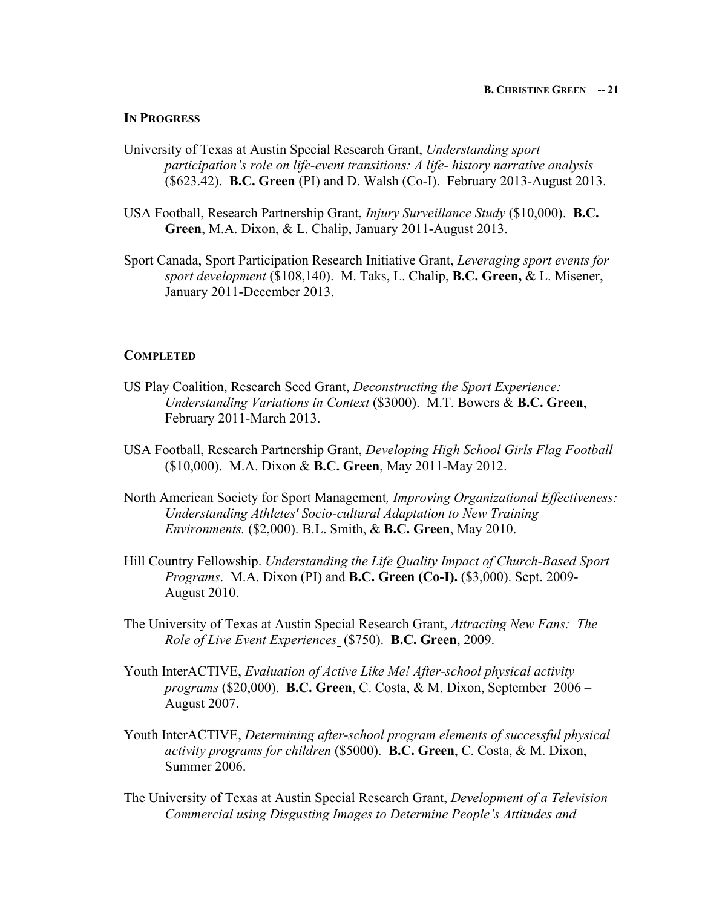#### **IN PROGRESS**

- University of Texas at Austin Special Research Grant, *Understanding sport participation's role on life-event transitions: A life- history narrative analysis* (\$623.42). **B.C. Green** (PI) and D. Walsh (Co-I). February 2013-August 2013.
- USA Football, Research Partnership Grant, *Injury Surveillance Study* (\$10,000). **B.C. Green**, M.A. Dixon, & L. Chalip, January 2011-August 2013.
- Sport Canada, Sport Participation Research Initiative Grant, *Leveraging sport events for sport development* (\$108,140). M. Taks, L. Chalip, **B.C. Green,** & L. Misener, January 2011-December 2013.

#### **COMPLETED**

- US Play Coalition, Research Seed Grant, *Deconstructing the Sport Experience: Understanding Variations in Context* (\$3000). M.T. Bowers & **B.C. Green**, February 2011-March 2013.
- USA Football, Research Partnership Grant, *Developing High School Girls Flag Football* (\$10,000). M.A. Dixon & **B.C. Green**, May 2011-May 2012.
- North American Society for Sport Management*, Improving Organizational Effectiveness: Understanding Athletes' Socio-cultural Adaptation to New Training Environments.* (\$2,000). B.L. Smith, & **B.C. Green**, May 2010.
- Hill Country Fellowship. *Understanding the Life Quality Impact of Church-Based Sport Programs*. M.A. Dixon (PI**)** and **B.C. Green (Co-I).** (\$3,000). Sept. 2009- August 2010.
- The University of Texas at Austin Special Research Grant, *Attracting New Fans: The Role of Live Event Experiences* (\$750). **B.C. Green**, 2009.
- Youth InterACTIVE, *Evaluation of Active Like Me! After-school physical activity programs* (\$20,000). **B.C. Green**, C. Costa, & M. Dixon, September 2006 – August 2007.
- Youth InterACTIVE, *Determining after-school program elements of successful physical activity programs for children* (\$5000). **B.C. Green**, C. Costa, & M. Dixon, Summer 2006.
- The University of Texas at Austin Special Research Grant, *Development of a Television Commercial using Disgusting Images to Determine People's Attitudes and*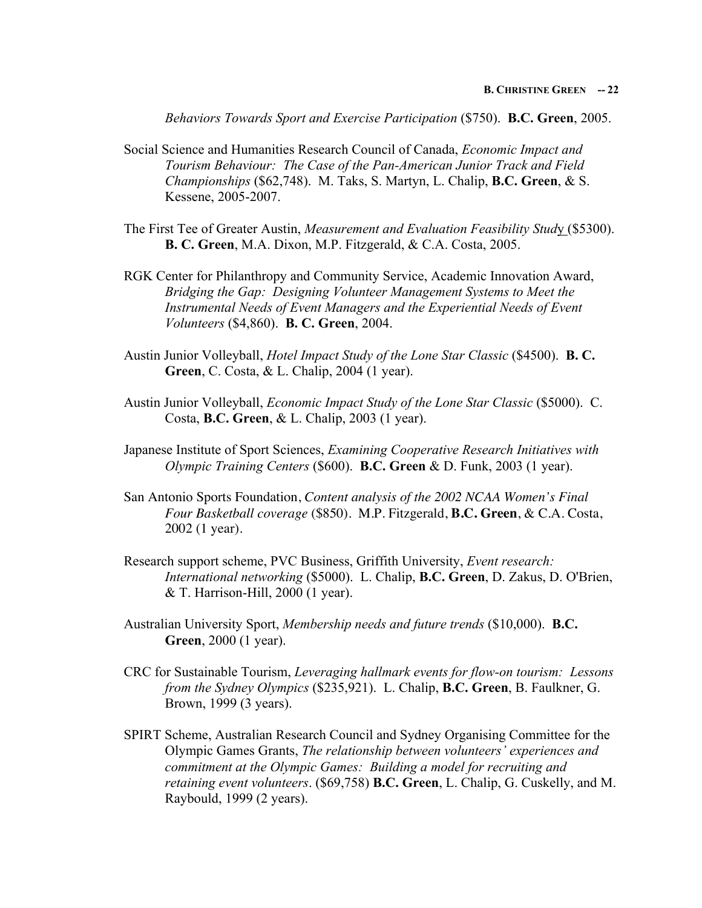*Behaviors Towards Sport and Exercise Participation* (\$750). **B.C. Green**, 2005.

- Social Science and Humanities Research Council of Canada, *Economic Impact and Tourism Behaviour: The Case of the Pan-American Junior Track and Field Championships* (\$62,748). M. Taks, S. Martyn, L. Chalip, **B.C. Green**, & S. Kessene, 2005-2007.
- The First Tee of Greater Austin, *Measurement and Evaluation Feasibility Stud*y (\$5300). **B. C. Green**, M.A. Dixon, M.P. Fitzgerald, & C.A. Costa, 2005.
- RGK Center for Philanthropy and Community Service, Academic Innovation Award, *Bridging the Gap: Designing Volunteer Management Systems to Meet the Instrumental Needs of Event Managers and the Experiential Needs of Event Volunteers* (\$4,860). **B. C. Green**, 2004.
- Austin Junior Volleyball, *Hotel Impact Study of the Lone Star Classic* (\$4500). **B. C. Green**, C. Costa, & L. Chalip, 2004 (1 year).
- Austin Junior Volleyball, *Economic Impact Study of the Lone Star Classic* (\$5000). C. Costa, **B.C. Green**, & L. Chalip, 2003 (1 year).
- Japanese Institute of Sport Sciences, *Examining Cooperative Research Initiatives with Olympic Training Centers* (\$600). **B.C. Green** & D. Funk, 2003 (1 year).
- San Antonio Sports Foundation, *Content analysis of the 2002 NCAA Women's Final Four Basketball coverage* (\$850). M.P. Fitzgerald, **B.C. Green**, & C.A. Costa, 2002 (1 year).
- Research support scheme, PVC Business, Griffith University, *Event research: International networking* (\$5000). L. Chalip, **B.C. Green**, D. Zakus, D. O'Brien, & T. Harrison-Hill, 2000 (1 year).
- Australian University Sport, *Membership needs and future trends* (\$10,000). **B.C. Green**, 2000 (1 year).
- CRC for Sustainable Tourism, *Leveraging hallmark events for flow-on tourism: Lessons from the Sydney Olympics* (\$235,921). L. Chalip, **B.C. Green**, B. Faulkner, G. Brown, 1999 (3 years).
- SPIRT Scheme, Australian Research Council and Sydney Organising Committee for the Olympic Games Grants, *The relationship between volunteers' experiences and commitment at the Olympic Games: Building a model for recruiting and retaining event volunteers*. (\$69,758) **B.C. Green**, L. Chalip, G. Cuskelly, and M. Raybould, 1999 (2 years).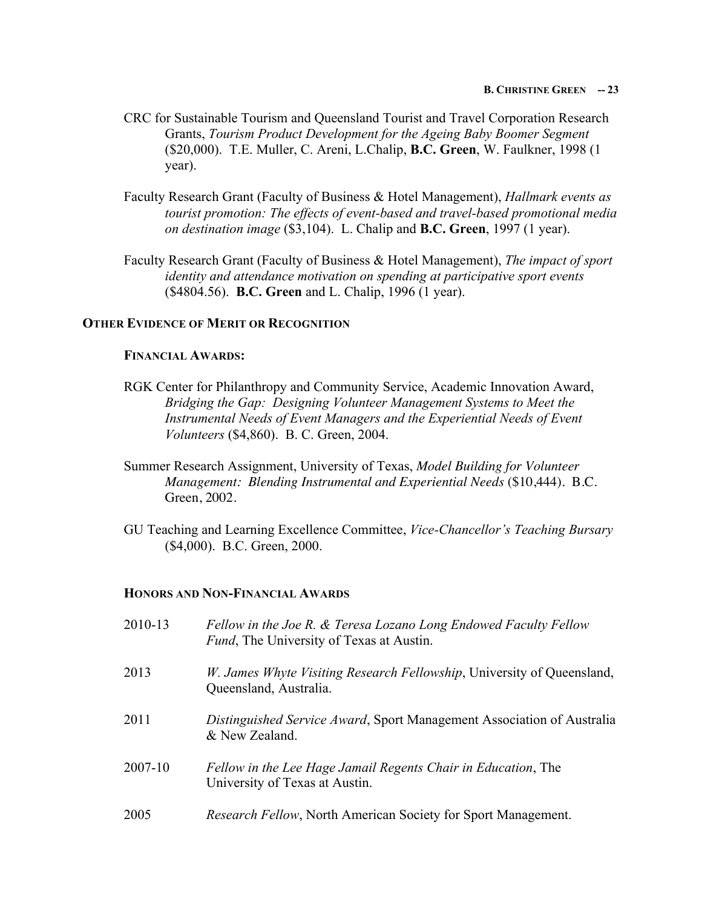- CRC for Sustainable Tourism and Queensland Tourist and Travel Corporation Research Grants, *Tourism Product Development for the Ageing Baby Boomer Segment* (\$20,000). T.E. Muller, C. Areni, L.Chalip, **B.C. Green**, W. Faulkner, 1998 (1 year).
- Faculty Research Grant (Faculty of Business & Hotel Management), *Hallmark events as tourist promotion: The effects of event-based and travel-based promotional media on destination image* (\$3,104). L. Chalip and **B.C. Green**, 1997 (1 year).
- Faculty Research Grant (Faculty of Business & Hotel Management), *The impact of sport identity and attendance motivation on spending at participative sport events*  (\$4804.56). **B.C. Green** and L. Chalip, 1996 (1 year).

## **OTHER EVIDENCE OF MERIT OR RECOGNITION**

### **FINANCIAL AWARDS:**

- RGK Center for Philanthropy and Community Service, Academic Innovation Award, *Bridging the Gap: Designing Volunteer Management Systems to Meet the Instrumental Needs of Event Managers and the Experiential Needs of Event Volunteers* (\$4,860). B. C. Green, 2004.
- Summer Research Assignment, University of Texas, *Model Building for Volunteer Management: Blending Instrumental and Experiential Needs* (\$10,444). B.C. Green, 2002.
- GU Teaching and Learning Excellence Committee, *Vice-Chancellor's Teaching Bursary* (\$4,000). B.C. Green, 2000.

# **HONORS AND NON-FINANCIAL AWARDS**

| 2010-13 | Fellow in the Joe R. & Teresa Lozano Long Endowed Faculty Fellow<br><i>Fund</i> , The University of Texas at Austin. |
|---------|----------------------------------------------------------------------------------------------------------------------|
| 2013    | <i>W. James Whyte Visiting Research Fellowship</i> , University of Queensland,<br>Queensland, Australia.             |
| 2011    | <i>Distinguished Service Award, Sport Management Association of Australia</i><br>& New Zealand.                      |
| 2007-10 | Fellow in the Lee Hage Jamail Regents Chair in Education, The<br>University of Texas at Austin.                      |
| 2005    | Research Fellow, North American Society for Sport Management.                                                        |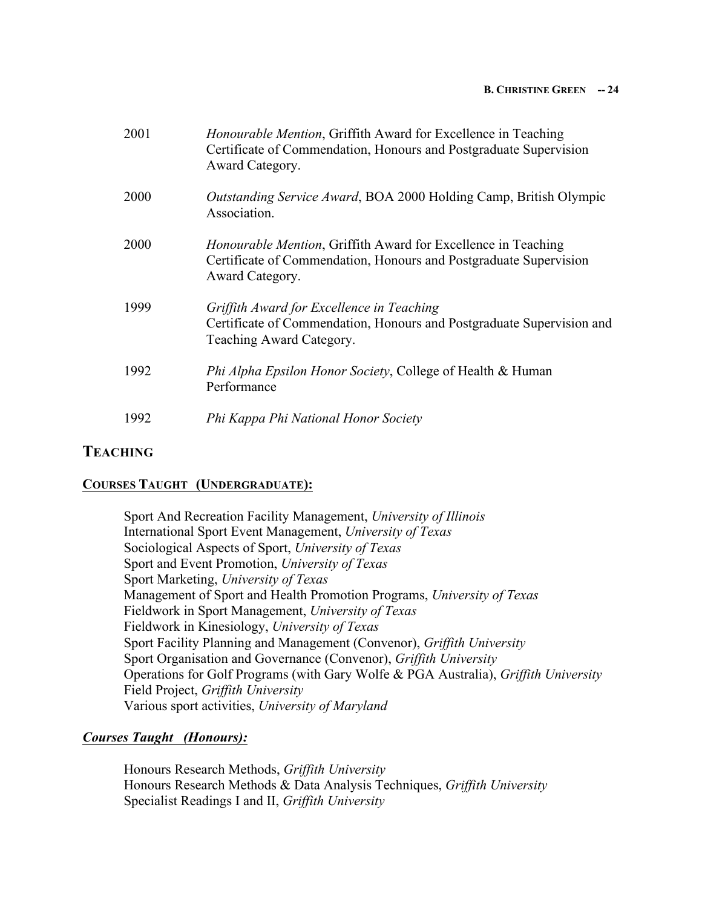#### **B. CHRISTINE GREEN -- 24**

| 2001 | <i>Honourable Mention</i> , Griffith Award for Excellence in Teaching<br>Certificate of Commendation, Honours and Postgraduate Supervision<br>Award Category. |
|------|---------------------------------------------------------------------------------------------------------------------------------------------------------------|
| 2000 | Outstanding Service Award, BOA 2000 Holding Camp, British Olympic<br>Association.                                                                             |
| 2000 | <i>Honourable Mention</i> , Griffith Award for Excellence in Teaching<br>Certificate of Commendation, Honours and Postgraduate Supervision<br>Award Category. |
| 1999 | Griffith Award for Excellence in Teaching<br>Certificate of Commendation, Honours and Postgraduate Supervision and<br>Teaching Award Category.                |
| 1992 | <i>Phi Alpha Epsilon Honor Society, College of Health &amp; Human</i><br>Performance                                                                          |
| 1992 | Phi Kappa Phi National Honor Society                                                                                                                          |

# **TEACHING**

# **COURSES TAUGHT (UNDERGRADUATE):**

Sport And Recreation Facility Management, *University of Illinois* International Sport Event Management, *University of Texas* Sociological Aspects of Sport, *University of Texas* Sport and Event Promotion, *University of Texas* Sport Marketing, *University of Texas* Management of Sport and Health Promotion Programs, *University of Texas* Fieldwork in Sport Management, *University of Texas* Fieldwork in Kinesiology, *University of Texas* Sport Facility Planning and Management (Convenor), *Griffith University* Sport Organisation and Governance (Convenor), *Griffith University* Operations for Golf Programs (with Gary Wolfe & PGA Australia), *Griffith University* Field Project, *Griffith University* Various sport activities, *University of Maryland*

# *Courses Taught (Honours):*

Honours Research Methods, *Griffith University* Honours Research Methods & Data Analysis Techniques, *Griffith University* Specialist Readings I and II, *Griffith University*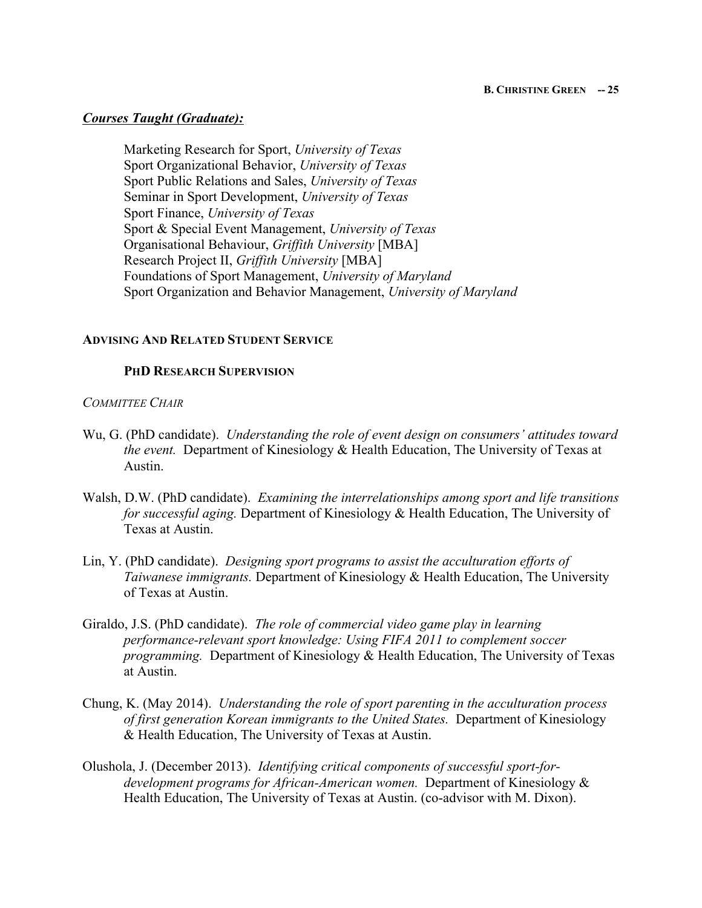## *Courses Taught (Graduate):*

Marketing Research for Sport, *University of Texas* Sport Organizational Behavior, *University of Texas* Sport Public Relations and Sales, *University of Texas*  Seminar in Sport Development, *University of Texas* Sport Finance, *University of Texas* Sport & Special Event Management, *University of Texas* Organisational Behaviour, *Griffith University* [MBA] Research Project II, *Griffith University* [MBA] Foundations of Sport Management, *University of Maryland* Sport Organization and Behavior Management, *University of Maryland*

## **ADVISING AND RELATED STUDENT SERVICE**

## **PHD RESEARCH SUPERVISION**

## *COMMITTEE CHAIR*

- Wu, G. (PhD candidate). *Understanding the role of event design on consumers' attitudes toward the event.* Department of Kinesiology & Health Education, The University of Texas at Austin.
- Walsh, D.W. (PhD candidate). *Examining the interrelationships among sport and life transitions for successful aging.* Department of Kinesiology & Health Education, The University of Texas at Austin.
- Lin, Y. (PhD candidate). *Designing sport programs to assist the acculturation efforts of Taiwanese immigrants.* Department of Kinesiology & Health Education, The University of Texas at Austin.
- Giraldo, J.S. (PhD candidate). *The role of commercial video game play in learning performance-relevant sport knowledge: Using FIFA 2011 to complement soccer programming.* Department of Kinesiology & Health Education, The University of Texas at Austin.
- Chung, K. (May 2014). *Understanding the role of sport parenting in the acculturation process of first generation Korean immigrants to the United States.* Department of Kinesiology & Health Education, The University of Texas at Austin.
- Olushola, J. (December 2013). *Identifying critical components of successful sport-fordevelopment programs for African-American women.* Department of Kinesiology & Health Education, The University of Texas at Austin. (co-advisor with M. Dixon).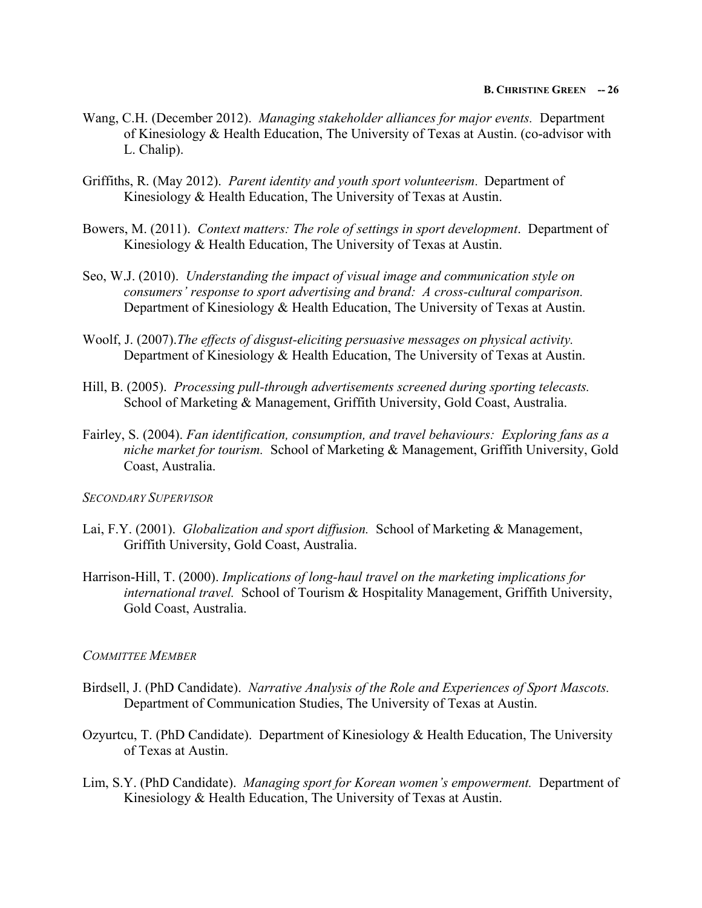- Wang, C.H. (December 2012). *Managing stakeholder alliances for major events.* Department of Kinesiology & Health Education, The University of Texas at Austin. (co-advisor with L. Chalip).
- Griffiths, R. (May 2012). *Parent identity and youth sport volunteerism*. Department of Kinesiology & Health Education, The University of Texas at Austin.
- Bowers, M. (2011). *Context matters: The role of settings in sport development*. Department of Kinesiology & Health Education, The University of Texas at Austin.
- Seo, W.J. (2010). *Understanding the impact of visual image and communication style on consumers' response to sport advertising and brand: A cross-cultural comparison.* Department of Kinesiology & Health Education, The University of Texas at Austin.
- Woolf, J. (2007).*The effects of disgust-eliciting persuasive messages on physical activity.* Department of Kinesiology & Health Education, The University of Texas at Austin.
- Hill, B. (2005). *Processing pull-through advertisements screened during sporting telecasts.*  School of Marketing & Management, Griffith University, Gold Coast, Australia.
- Fairley, S. (2004). *Fan identification, consumption, and travel behaviours: Exploring fans as a niche market for tourism.* School of Marketing & Management, Griffith University, Gold Coast, Australia.

### *SECONDARY SUPERVISOR*

- Lai, F.Y. (2001). *Globalization and sport diffusion.* School of Marketing & Management, Griffith University, Gold Coast, Australia.
- Harrison-Hill, T. (2000). *Implications of long-haul travel on the marketing implications for international travel.* School of Tourism & Hospitality Management, Griffith University, Gold Coast, Australia.

### *COMMITTEE MEMBER*

- Birdsell, J. (PhD Candidate). *Narrative Analysis of the Role and Experiences of Sport Mascots.*  Department of Communication Studies, The University of Texas at Austin.
- Ozyurtcu, T. (PhD Candidate). Department of Kinesiology & Health Education, The University of Texas at Austin.
- Lim, S.Y. (PhD Candidate). *Managing sport for Korean women's empowerment.* Department of Kinesiology & Health Education, The University of Texas at Austin.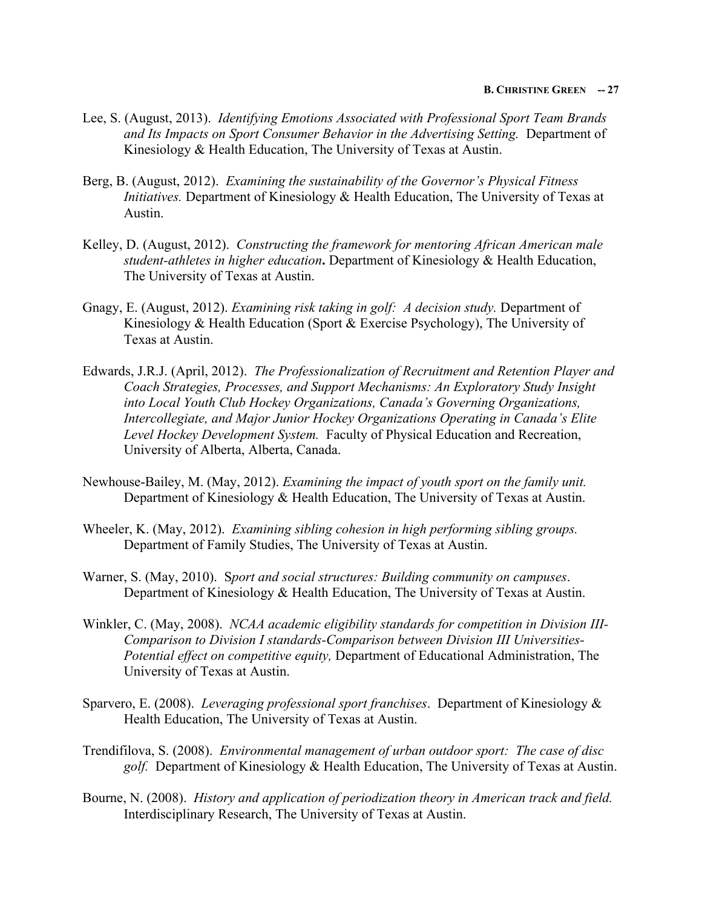- Lee, S. (August, 2013). *Identifying Emotions Associated with Professional Sport Team Brands and Its Impacts on Sport Consumer Behavior in the Advertising Setting.* Department of Kinesiology & Health Education, The University of Texas at Austin.
- Berg, B. (August, 2012). *Examining the sustainability of the Governor's Physical Fitness Initiatives.* Department of Kinesiology & Health Education, The University of Texas at Austin.
- Kelley, D. (August, 2012). *Constructing the framework for mentoring African American male student-athletes in higher education***.** Department of Kinesiology & Health Education, The University of Texas at Austin.
- Gnagy, E. (August, 2012). *Examining risk taking in golf: A decision study.* Department of Kinesiology & Health Education (Sport & Exercise Psychology), The University of Texas at Austin.
- Edwards, J.R.J. (April, 2012). *The Professionalization of Recruitment and Retention Player and Coach Strategies, Processes, and Support Mechanisms: An Exploratory Study Insight into Local Youth Club Hockey Organizations, Canada's Governing Organizations, Intercollegiate, and Major Junior Hockey Organizations Operating in Canada's Elite Level Hockey Development System.* Faculty of Physical Education and Recreation, University of Alberta, Alberta, Canada.
- Newhouse-Bailey, M. (May, 2012). *Examining the impact of youth sport on the family unit.*  Department of Kinesiology & Health Education, The University of Texas at Austin.
- Wheeler, K. (May, 2012). *Examining sibling cohesion in high performing sibling groups.*  Department of Family Studies, The University of Texas at Austin.
- Warner, S. (May, 2010). S*port and social structures: Building community on campuses*. Department of Kinesiology & Health Education, The University of Texas at Austin.
- Winkler, C. (May, 2008). *NCAA academic eligibility standards for competition in Division III-Comparison to Division I standards-Comparison between Division III Universities-Potential effect on competitive equity,* Department of Educational Administration, The University of Texas at Austin.
- Sparvero, E. (2008). *Leveraging professional sport franchises*. Department of Kinesiology & Health Education, The University of Texas at Austin.
- Trendifilova, S. (2008). *Environmental management of urban outdoor sport: The case of disc golf.* Department of Kinesiology & Health Education, The University of Texas at Austin.
- Bourne, N. (2008). *History and application of periodization theory in American track and field.* Interdisciplinary Research, The University of Texas at Austin.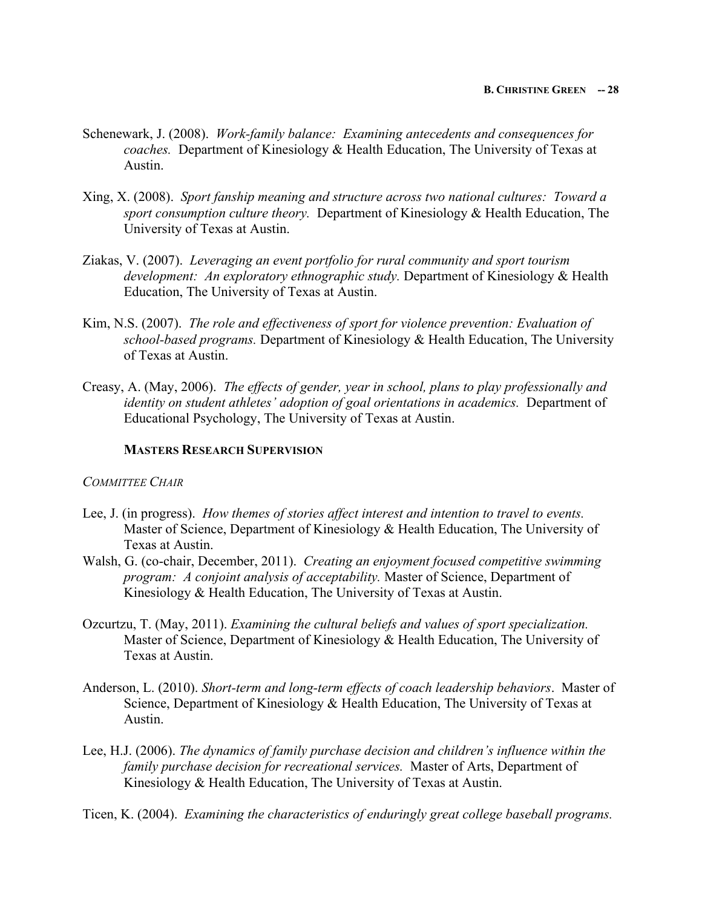- Schenewark, J. (2008). *Work-family balance: Examining antecedents and consequences for coaches.* Department of Kinesiology & Health Education, The University of Texas at Austin.
- Xing, X. (2008). *Sport fanship meaning and structure across two national cultures: Toward a sport consumption culture theory.* Department of Kinesiology & Health Education, The University of Texas at Austin.
- Ziakas, V. (2007). *Leveraging an event portfolio for rural community and sport tourism development: An exploratory ethnographic study.* Department of Kinesiology & Health Education, The University of Texas at Austin.
- Kim, N.S. (2007). *The role and effectiveness of sport for violence prevention: Evaluation of school-based programs.* Department of Kinesiology & Health Education, The University of Texas at Austin.
- Creasy, A. (May, 2006). *The effects of gender, year in school, plans to play professionally and identity on student athletes' adoption of goal orientations in academics.* Department of Educational Psychology, The University of Texas at Austin.

# **MASTERS RESEARCH SUPERVISION**

# *COMMITTEE CHAIR*

- Lee, J. (in progress). *How themes of stories affect interest and intention to travel to events.* Master of Science, Department of Kinesiology & Health Education, The University of Texas at Austin.
- Walsh, G. (co-chair, December, 2011). *Creating an enjoyment focused competitive swimming program: A conjoint analysis of acceptability.* Master of Science, Department of Kinesiology & Health Education, The University of Texas at Austin.
- Ozcurtzu, T. (May, 2011). *Examining the cultural beliefs and values of sport specialization.*  Master of Science, Department of Kinesiology & Health Education, The University of Texas at Austin.
- Anderson, L. (2010). *Short-term and long-term effects of coach leadership behaviors*.Master of Science, Department of Kinesiology & Health Education, The University of Texas at Austin.
- Lee, H.J. (2006). *The dynamics of family purchase decision and children's influence within the family purchase decision for recreational services.* Master of Arts, Department of Kinesiology & Health Education, The University of Texas at Austin.
- Ticen, K. (2004). *Examining the characteristics of enduringly great college baseball programs.*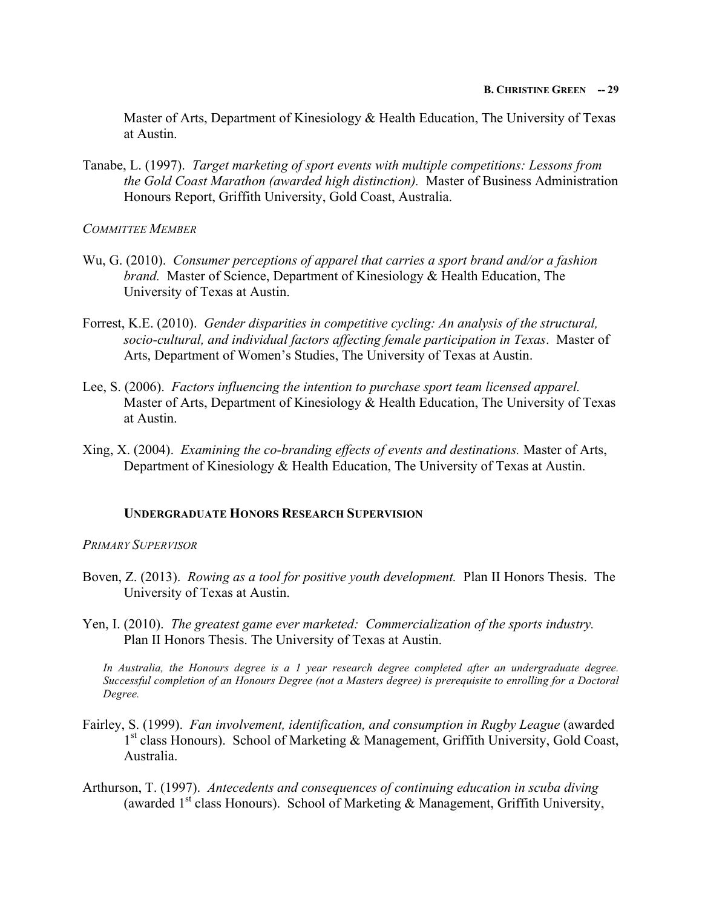Master of Arts, Department of Kinesiology & Health Education, The University of Texas at Austin.

Tanabe, L. (1997). *Target marketing of sport events with multiple competitions: Lessons from the Gold Coast Marathon (awarded high distinction).* Master of Business Administration Honours Report, Griffith University, Gold Coast, Australia.

*COMMITTEE MEMBER*

- Wu, G. (2010). *Consumer perceptions of apparel that carries a sport brand and/or a fashion brand.* Master of Science, Department of Kinesiology & Health Education, The University of Texas at Austin.
- Forrest, K.E. (2010). *Gender disparities in competitive cycling: An analysis of the structural, socio-cultural, and individual factors affecting female participation in Texas*. Master of Arts, Department of Women's Studies, The University of Texas at Austin.
- Lee, S. (2006). *Factors influencing the intention to purchase sport team licensed apparel.*  Master of Arts, Department of Kinesiology & Health Education, The University of Texas at Austin.
- Xing, X. (2004). *Examining the co-branding effects of events and destinations.* Master of Arts, Department of Kinesiology & Health Education, The University of Texas at Austin.

# **UNDERGRADUATE HONORS RESEARCH SUPERVISION**

### *PRIMARY SUPERVISOR*

- Boven, Z. (2013). *Rowing as a tool for positive youth development.* Plan II Honors Thesis. The University of Texas at Austin.
- Yen, I. (2010). *The greatest game ever marketed: Commercialization of the sports industry.*  Plan II Honors Thesis. The University of Texas at Austin.

*In Australia, the Honours degree is a 1 year research degree completed after an undergraduate degree. Successful completion of an Honours Degree (not a Masters degree) is prerequisite to enrolling for a Doctoral Degree.* 

- Fairley, S. (1999). *Fan involvement, identification, and consumption in Rugby League* (awarded 1<sup>st</sup> class Honours). School of Marketing & Management, Griffith University, Gold Coast, Australia.
- Arthurson, T. (1997). *Antecedents and consequences of continuing education in scuba diving* (awarded 1<sup>st</sup> class Honours). School of Marketing & Management, Griffith University,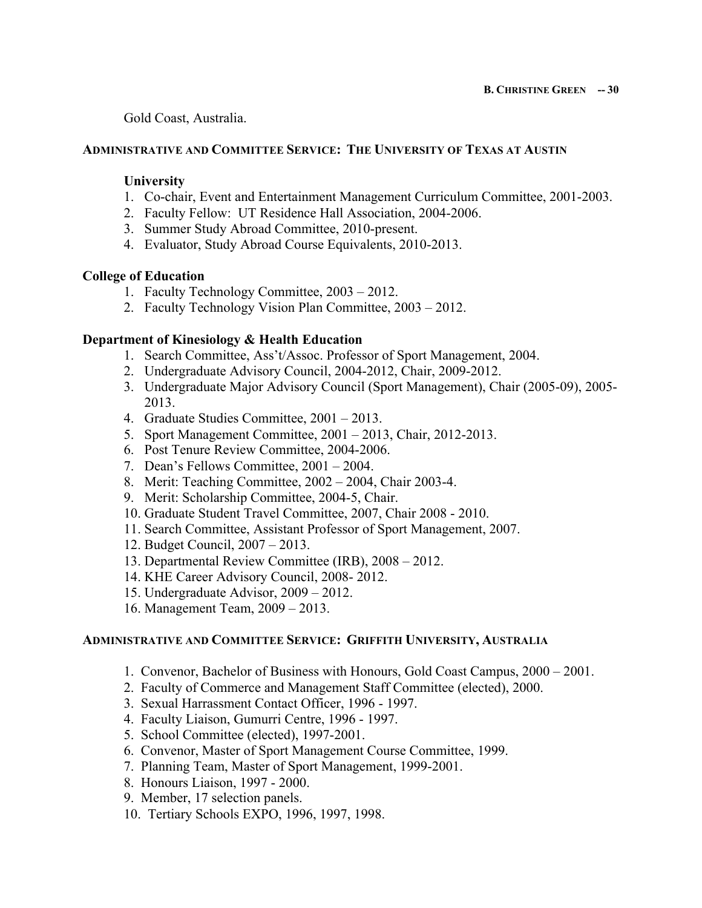Gold Coast, Australia.

# **ADMINISTRATIVE AND COMMITTEE SERVICE: THE UNIVERSITY OF TEXAS AT AUSTIN**

## **University**

- 1. Co-chair, Event and Entertainment Management Curriculum Committee, 2001-2003.
- 2. Faculty Fellow: UT Residence Hall Association, 2004-2006.
- 3. Summer Study Abroad Committee, 2010-present.
- 4. Evaluator, Study Abroad Course Equivalents, 2010-2013.

## **College of Education**

- 1. Faculty Technology Committee, 2003 2012.
- 2. Faculty Technology Vision Plan Committee, 2003 2012.

## **Department of Kinesiology & Health Education**

- 1. Search Committee, Ass't/Assoc. Professor of Sport Management, 2004.
- 2. Undergraduate Advisory Council, 2004-2012, Chair, 2009-2012.
- 3. Undergraduate Major Advisory Council (Sport Management), Chair (2005-09), 2005- 2013.
- 4. Graduate Studies Committee, 2001 2013.
- 5. Sport Management Committee, 2001 2013, Chair, 2012-2013.
- 6. Post Tenure Review Committee, 2004-2006.
- 7. Dean's Fellows Committee, 2001 2004.
- 8. Merit: Teaching Committee, 2002 2004, Chair 2003-4.
- 9. Merit: Scholarship Committee, 2004-5, Chair.
- 10. Graduate Student Travel Committee, 2007, Chair 2008 2010.
- 11. Search Committee, Assistant Professor of Sport Management, 2007.
- 12. Budget Council, 2007 2013.
- 13. Departmental Review Committee (IRB), 2008 2012.
- 14. KHE Career Advisory Council, 2008- 2012.
- 15. Undergraduate Advisor, 2009 2012.
- 16. Management Team, 2009 2013.

### **ADMINISTRATIVE AND COMMITTEE SERVICE: GRIFFITH UNIVERSITY, AUSTRALIA**

- 1. Convenor, Bachelor of Business with Honours, Gold Coast Campus, 2000 2001.
- 2. Faculty of Commerce and Management Staff Committee (elected), 2000.
- 3. Sexual Harrassment Contact Officer, 1996 1997.
- 4. Faculty Liaison, Gumurri Centre, 1996 1997.
- 5. School Committee (elected), 1997-2001.
- 6. Convenor, Master of Sport Management Course Committee, 1999.
- 7. Planning Team, Master of Sport Management, 1999-2001.
- 8. Honours Liaison, 1997 2000.
- 9. Member, 17 selection panels.
- 10. Tertiary Schools EXPO, 1996, 1997, 1998.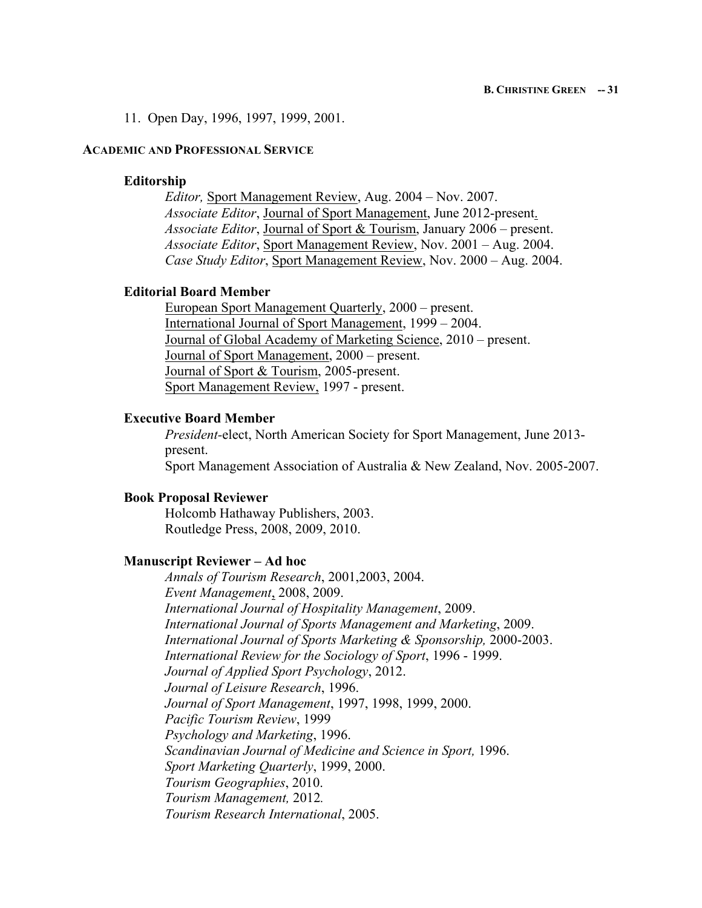11. Open Day, 1996, 1997, 1999, 2001.

### **ACADEMIC AND PROFESSIONAL SERVICE**

#### **Editorship**

*Editor,* Sport Management Review, Aug. 2004 – Nov. 2007. *Associate Editor*, Journal of Sport Management, June 2012-present. *Associate Editor*, Journal of Sport & Tourism, January 2006 – present. *Associate Editor*, Sport Management Review, Nov. 2001 – Aug. 2004. *Case Study Editor*, Sport Management Review, Nov. 2000 – Aug. 2004.

### **Editorial Board Member**

European Sport Management Quarterly, 2000 – present. International Journal of Sport Management, 1999 – 2004. Journal of Global Academy of Marketing Science, 2010 – present. Journal of Sport Management, 2000 – present. Journal of Sport & Tourism, 2005-present. Sport Management Review, 1997 - present.

#### **Executive Board Member**

*President-*elect, North American Society for Sport Management, June 2013 present. Sport Management Association of Australia & New Zealand, Nov. 2005-2007.

#### **Book Proposal Reviewer**

Holcomb Hathaway Publishers, 2003. Routledge Press, 2008, 2009, 2010.

#### **Manuscript Reviewer – Ad hoc**

*Annals of Tourism Research*, 2001,2003, 2004. *Event Management*, 2008, 2009. *International Journal of Hospitality Management*, 2009. *International Journal of Sports Management and Marketing*, 2009. *International Journal of Sports Marketing & Sponsorship,* 2000-2003. *International Review for the Sociology of Sport*, 1996 - 1999. *Journal of Applied Sport Psychology*, 2012. *Journal of Leisure Research*, 1996. *Journal of Sport Management*, 1997, 1998, 1999, 2000. *Pacific Tourism Review*, 1999 *Psychology and Marketing*, 1996. *Scandinavian Journal of Medicine and Science in Sport,* 1996. *Sport Marketing Quarterly*, 1999, 2000. *Tourism Geographies*, 2010. *Tourism Management,* 2012*. Tourism Research International*, 2005.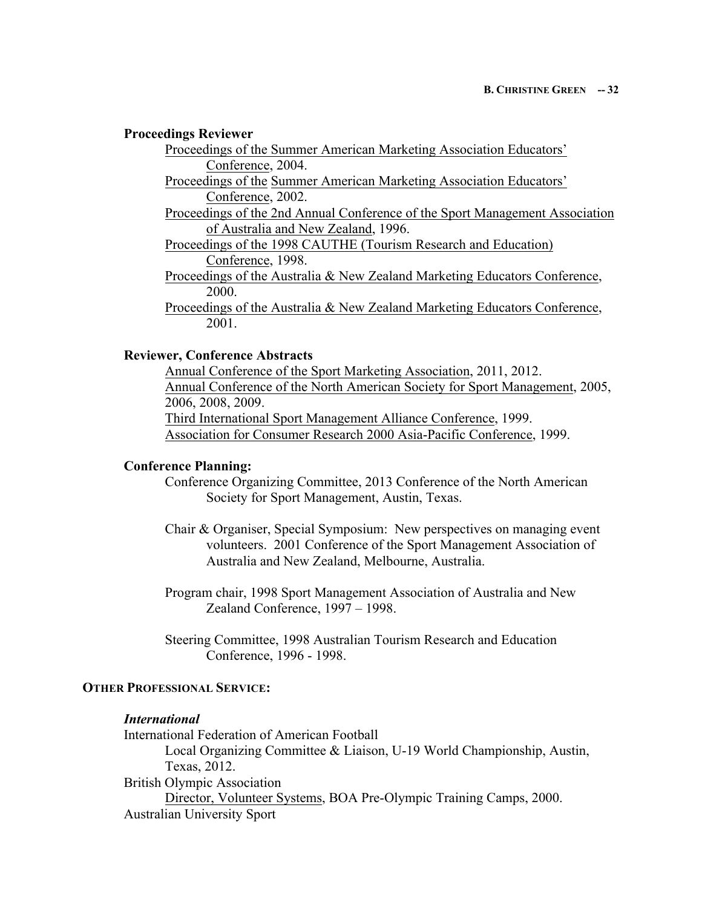#### **Proceedings Reviewer**

Proceedings of the Summer American Marketing Association Educators' Conference, 2004.

Proceedings of the Summer American Marketing Association Educators' Conference, 2002.

Proceedings of the 2nd Annual Conference of the Sport Management Association of Australia and New Zealand, 1996.

Proceedings of the 1998 CAUTHE (Tourism Research and Education) Conference, 1998.

Proceedings of the Australia & New Zealand Marketing Educators Conference, 2000.

Proceedings of the Australia & New Zealand Marketing Educators Conference, 2001.

## **Reviewer, Conference Abstracts**

Annual Conference of the Sport Marketing Association, 2011, 2012. Annual Conference of the North American Society for Sport Management, 2005, 2006, 2008, 2009. Third International Sport Management Alliance Conference, 1999. Association for Consumer Research 2000 Asia-Pacific Conference, 1999.

## **Conference Planning:**

Conference Organizing Committee, 2013 Conference of the North American Society for Sport Management, Austin, Texas.

Chair & Organiser, Special Symposium: New perspectives on managing event volunteers. 2001 Conference of the Sport Management Association of Australia and New Zealand, Melbourne, Australia.

Program chair, 1998 Sport Management Association of Australia and New Zealand Conference, 1997 – 1998.

Steering Committee, 1998 Australian Tourism Research and Education Conference, 1996 - 1998.

## **OTHER PROFESSIONAL SERVICE:**

# *International*

International Federation of American Football Local Organizing Committee & Liaison, U-19 World Championship, Austin, Texas, 2012. British Olympic Association Director, Volunteer Systems, BOA Pre-Olympic Training Camps, 2000. Australian University Sport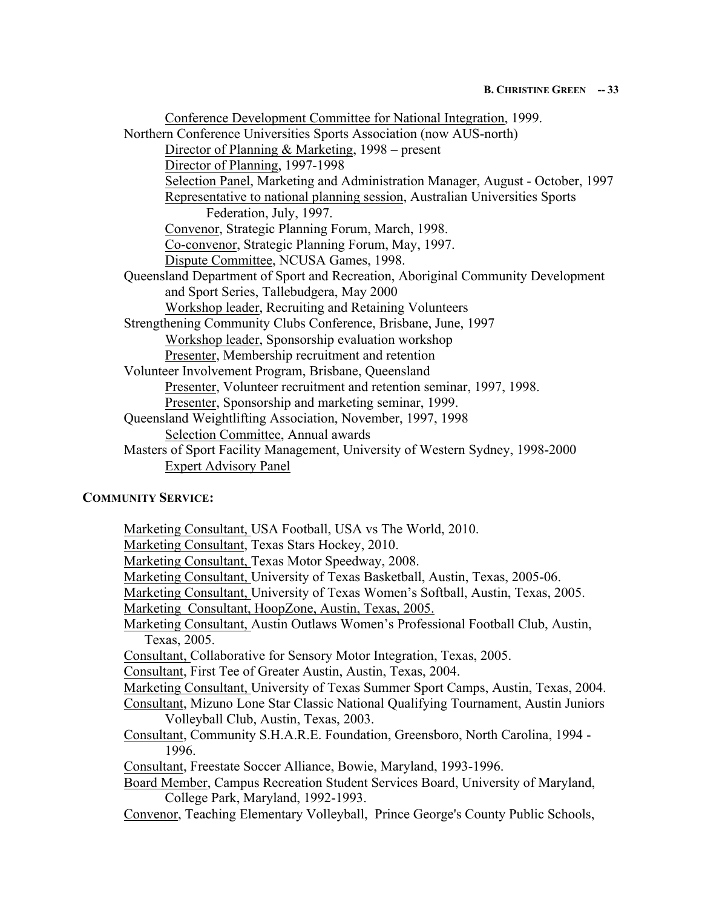| Conference Development Committee for National Integration, 1999.                |  |
|---------------------------------------------------------------------------------|--|
| Northern Conference Universities Sports Association (now AUS-north)             |  |
| Director of Planning & Marketing, 1998 – present                                |  |
| Director of Planning, 1997-1998                                                 |  |
| Selection Panel, Marketing and Administration Manager, August - October, 1997   |  |
| Representative to national planning session, Australian Universities Sports     |  |
| Federation, July, 1997.                                                         |  |
| Convenor, Strategic Planning Forum, March, 1998.                                |  |
| Co-convenor, Strategic Planning Forum, May, 1997.                               |  |
| Dispute Committee, NCUSA Games, 1998.                                           |  |
| Queensland Department of Sport and Recreation, Aboriginal Community Development |  |
| and Sport Series, Tallebudgera, May 2000                                        |  |
| Workshop leader, Recruiting and Retaining Volunteers                            |  |
| Strengthening Community Clubs Conference, Brisbane, June, 1997                  |  |
| Workshop leader, Sponsorship evaluation workshop                                |  |
| Presenter, Membership recruitment and retention                                 |  |
| Volunteer Involvement Program, Brisbane, Queensland                             |  |
| Presenter, Volunteer recruitment and retention seminar, 1997, 1998.             |  |
| Presenter, Sponsorship and marketing seminar, 1999.                             |  |
| Queensland Weightlifting Association, November, 1997, 1998                      |  |
| Selection Committee, Annual awards                                              |  |
| Masters of Sport Facility Management, University of Western Sydney, 1998-2000   |  |
| <b>Expert Advisory Panel</b>                                                    |  |
|                                                                                 |  |

# **COMMUNITY SERVICE:**

Marketing Consultant, USA Football, USA vs The World, 2010. Marketing Consultant, Texas Stars Hockey, 2010. Marketing Consultant, Texas Motor Speedway, 2008. Marketing Consultant, University of Texas Basketball, Austin, Texas, 2005-06. Marketing Consultant, University of Texas Women's Softball, Austin, Texas, 2005. Marketing Consultant, HoopZone, Austin, Texas, 2005. Marketing Consultant, Austin Outlaws Women's Professional Football Club, Austin, Texas, 2005. Consultant, Collaborative for Sensory Motor Integration, Texas, 2005. Consultant, First Tee of Greater Austin, Austin, Texas, 2004. Marketing Consultant, University of Texas Summer Sport Camps, Austin, Texas, 2004. Consultant, Mizuno Lone Star Classic National Qualifying Tournament, Austin Juniors Volleyball Club, Austin, Texas, 2003. Consultant, Community S.H.A.R.E. Foundation, Greensboro, North Carolina, 1994 - 1996. Consultant, Freestate Soccer Alliance, Bowie, Maryland, 1993-1996. Board Member, Campus Recreation Student Services Board, University of Maryland, College Park, Maryland, 1992-1993. Convenor, Teaching Elementary Volleyball, Prince George's County Public Schools,